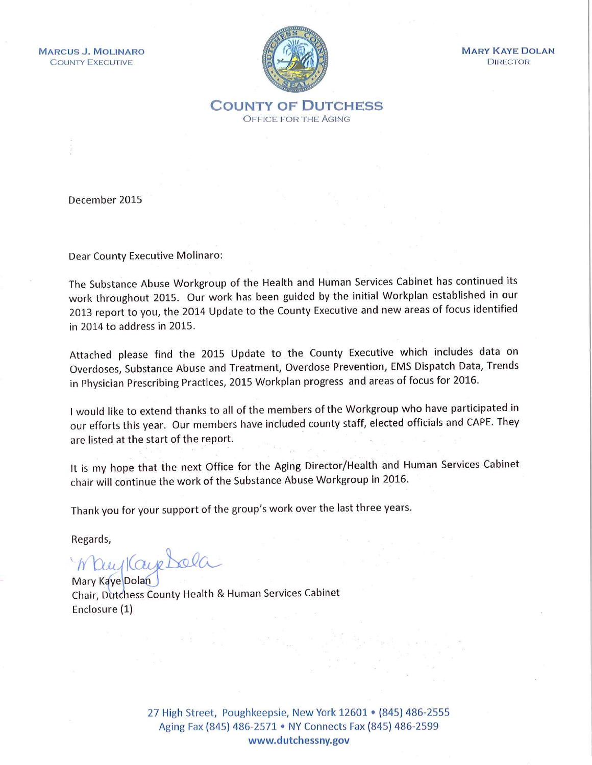**MARCUS J. MOLINARO COUNTY EXECUTIVE** 



**MARY KAYE DOLAN DIRECTOR** 

**COUNTY OF DUTCHESS OFFICE FOR THE AGING** 

December 2015

Dear County Executive Molinaro:

The Substance Abuse Workgroup of the Health and Human Services Cabinet has continued its work throughout 2015. Our work has been guided by the initial Workplan established in our 2013 report to you, the 2014 Update to the County Executive and new areas of focus identified in 2014 to address in 2015.

Attached please find the 2015 Update to the County Executive which includes data on Overdoses, Substance Abuse and Treatment, Overdose Prevention, EMS Dispatch Data, Trends in Physician Prescribing Practices, 2015 Workplan progress and areas of focus for 2016.

I would like to extend thanks to all of the members of the Workgroup who have participated in our efforts this year. Our members have included county staff, elected officials and CAPE. They are listed at the start of the report.

It is my hope that the next Office for the Aging Director/Health and Human Services Cabinet chair will continue the work of the Substance Abuse Workgroup in 2016.

Thank you for your support of the group's work over the last three years.

Regards,

Way Kaye Dola

Chair, Dutchess County Health & Human Services Cabinet Enclosure (1)

> 27 High Street, Poughkeepsie, New York 12601 • (845) 486-2555 Aging Fax (845) 486-2571 • NY Connects Fax (845) 486-2599 www.dutchessny.gov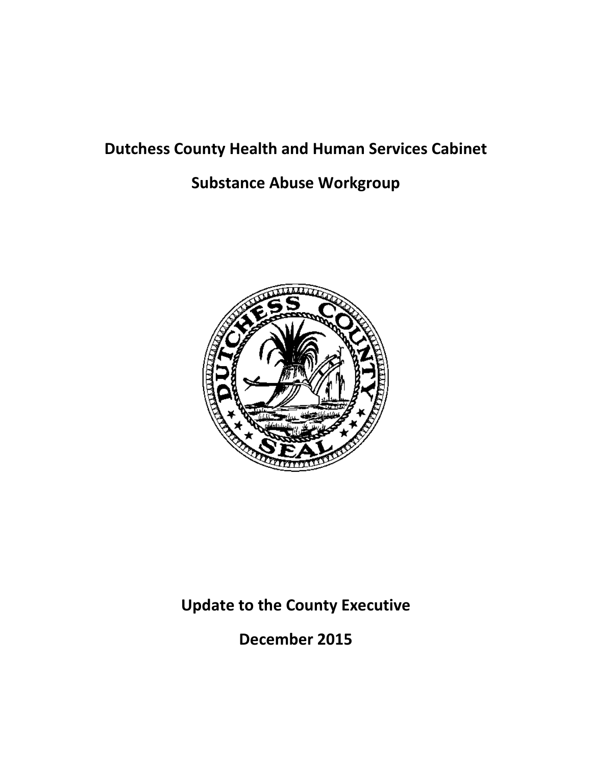# **Dutchess County Health and Human Services Cabinet**

# **Substance Abuse Workgroup**



**Update to the County Executive**

**December 2015**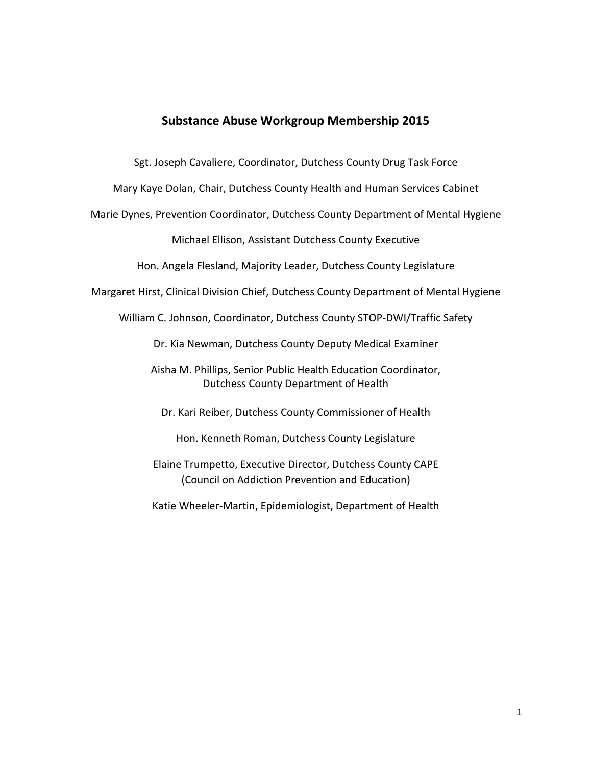#### **Substance Abuse Workgroup Membership 2015**

Sgt. Joseph Cavaliere, Coordinator, Dutchess County Drug Task Force

Mary Kaye Dolan, Chair, Dutchess County Health and Human Services Cabinet

Marie Dynes, Prevention Coordinator, Dutchess County Department of Mental Hygiene

Michael Ellison, Assistant Dutchess County Executive

Hon. Angela Flesland, Majority Leader, Dutchess County Legislature

Margaret Hirst, Clinical Division Chief, Dutchess County Department of Mental Hygiene

William C. Johnson, Coordinator, Dutchess County STOP-DWI/Traffic Safety

Dr. Kia Newman, Dutchess County Deputy Medical Examiner

Aisha M. Phillips, Senior Public Health Education Coordinator, Dutchess County Department of Health

Dr. Kari Reiber, Dutchess County Commissioner of Health

Hon. Kenneth Roman, Dutchess County Legislature

Elaine Trumpetto, Executive Director, Dutchess County CAPE (Council on Addiction Prevention and Education)

Katie Wheeler-Martin, Epidemiologist, Department of Health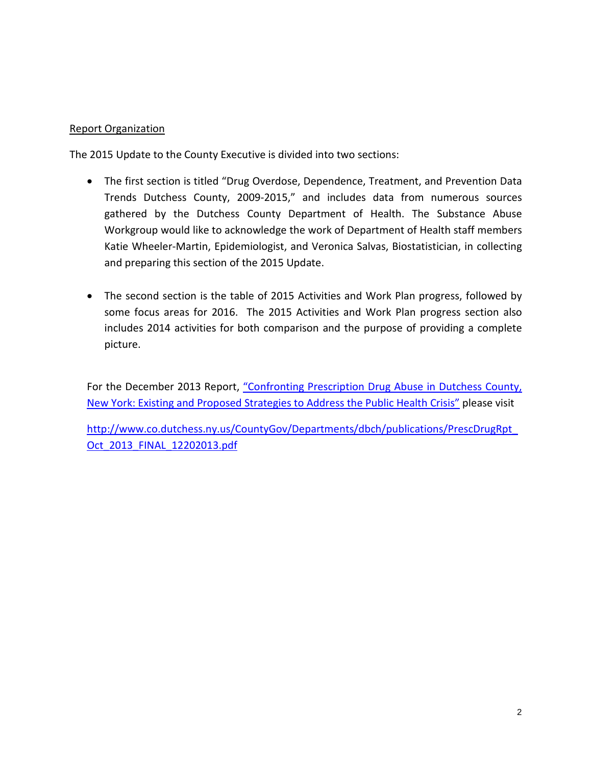#### Report Organization

The 2015 Update to the County Executive is divided into two sections:

- The first section is titled "Drug Overdose, Dependence, Treatment, and Prevention Data Trends Dutchess County, 2009-2015," and includes data from numerous sources gathered by the Dutchess County Department of Health. The Substance Abuse Workgroup would like to acknowledge the work of Department of Health staff members Katie Wheeler-Martin, Epidemiologist, and Veronica Salvas, Biostatistician, in collecting and preparing this section of the 2015 Update.
- The second section is the table of 2015 Activities and Work Plan progress, followed by some focus areas for 2016. The 2015 Activities and Work Plan progress section also includes 2014 activities for both comparison and the purpose of providing a complete picture.

For the December 2013 Report, "Confronting Prescription Drug Abuse in Dutchess County, [New York: Existing and Proposed Strategies to Address the Public Health Crisis"](http://www.co.dutchess.ny.us/CountyGov/Departments/dbch/publications/PrescDrugRpt_Oct_2013_FINAL_12202013.pdf) please visit

[http://www.co.dutchess.ny.us/CountyGov/Departments/dbch/publications/PrescDrugRpt\\_](http://www.co.dutchess.ny.us/CountyGov/Departments/dbch/publications/PrescDrugRpt_Oct_2013_FINAL_12202013.pdf) Oct 2013 FINAL 12202013.pdf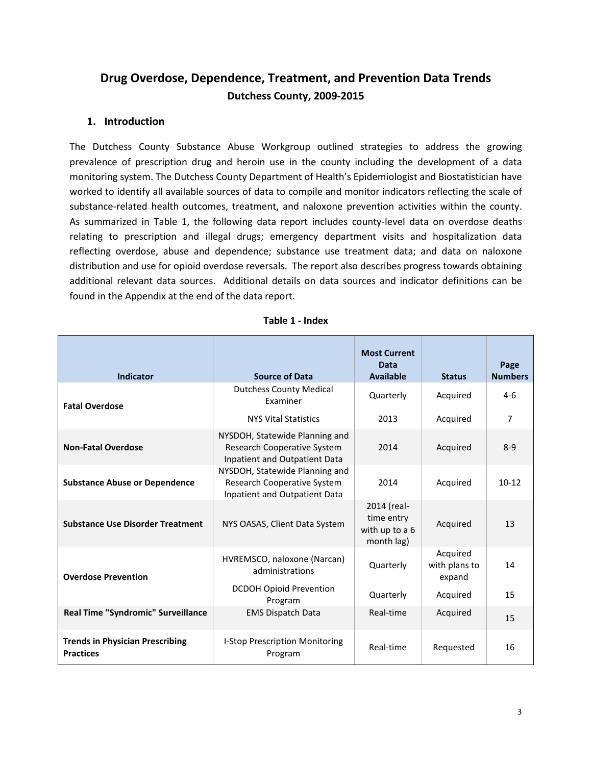## **Drug Overdose, Dependence, Treatment, and Prevention Data Trends Dutchess County, 2009-2015**

#### **1. Introduction**

The Dutchess County Substance Abuse Workgroup outlined strategies to address the growing prevalence of prescription drug and heroin use in the county including the development of a data monitoring system. The Dutchess County Department of Health's Epidemiologist and Biostatistician have worked to identify all available sources of data to compile and monitor indicators reflecting the scale of substance-related health outcomes, treatment, and naloxone prevention activities within the county. As summarized in Table 1, the following data report includes county-level data on overdose deaths relating to prescription and illegal drugs; emergency department visits and hospitalization data reflecting overdose, abuse and dependence; substance use treatment data; and data on naloxone distribution and use for opioid overdose reversals. The report also describes progress towards obtaining additional relevant data sources. Additional details on data sources and indicator definitions can be found in the Appendix at the end of the data report.

| <b>Indicator</b>                                           | <b>Source of Data</b>                                                                                 | <b>Most Current</b><br><b>Data</b><br><b>Available</b>    | <b>Status</b>                       | Page<br><b>Numbers</b> |
|------------------------------------------------------------|-------------------------------------------------------------------------------------------------------|-----------------------------------------------------------|-------------------------------------|------------------------|
| <b>Fatal Overdose</b>                                      | <b>Dutchess County Medical</b><br><b>Fxaminer</b>                                                     | Quarterly                                                 | Acquired                            | $4-6$                  |
|                                                            | <b>NYS Vital Statistics</b>                                                                           | 2013                                                      | Acquired                            | $\overline{7}$         |
| <b>Non-Fatal Overdose</b>                                  | NYSDOH, Statewide Planning and<br><b>Research Cooperative System</b><br>Inpatient and Outpatient Data | 2014                                                      | Acquired                            | $8 - 9$                |
| <b>Substance Abuse or Dependence</b>                       | NYSDOH, Statewide Planning and<br>Research Cooperative System<br>Inpatient and Outpatient Data        | 2014                                                      | Acquired                            | $10-12$                |
| <b>Substance Use Disorder Treatment</b>                    | NYS OASAS, Client Data System                                                                         | 2014 (real-<br>time entry<br>with up to a 6<br>month lag) | Acquired                            | 13                     |
| <b>Overdose Prevention</b>                                 | HVREMSCO, naloxone (Narcan)<br>administrations                                                        | Quarterly                                                 | Acquired<br>with plans to<br>expand | 14                     |
|                                                            | <b>DCDOH Opioid Prevention</b><br>Program                                                             | Quarterly                                                 | Acquired                            | 15                     |
| Real Time "Syndromic" Surveillance                         | <b>EMS Dispatch Data</b>                                                                              | Real-time                                                 | Acquired                            | 15                     |
| <b>Trends in Physician Prescribing</b><br><b>Practices</b> | I-Stop Prescription Monitoring<br>Program                                                             | Real-time                                                 | Requested                           | 16                     |

#### **Table 1 - Index**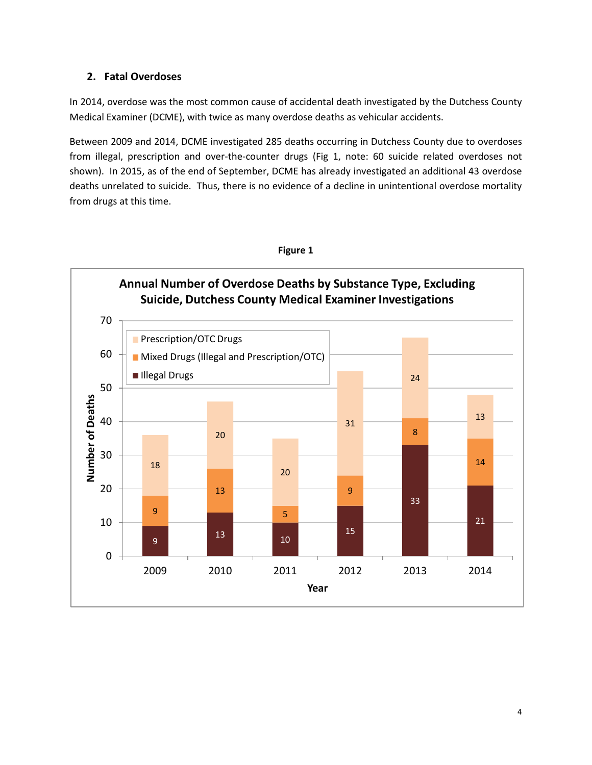#### **2. Fatal Overdoses**

In 2014, overdose was the most common cause of accidental death investigated by the Dutchess County Medical Examiner (DCME), with twice as many overdose deaths as vehicular accidents.

Between 2009 and 2014, DCME investigated 285 deaths occurring in Dutchess County due to overdoses from illegal, prescription and over-the-counter drugs (Fig 1, note: 60 suicide related overdoses not shown). In 2015, as of the end of September, DCME has already investigated an additional 43 overdose deaths unrelated to suicide. Thus, there is no evidence of a decline in unintentional overdose mortality from drugs at this time.



#### **Figure 1**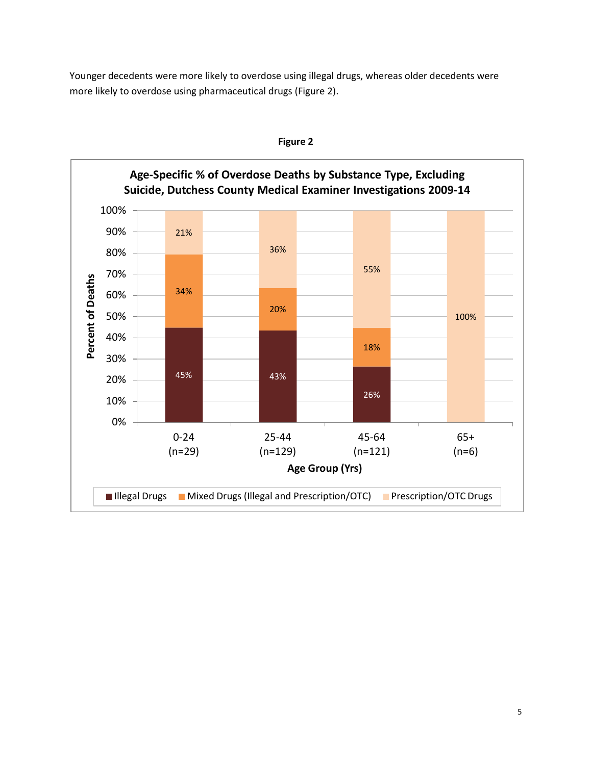Younger decedents were more likely to overdose using illegal drugs, whereas older decedents were more likely to overdose using pharmaceutical drugs (Figure 2).



**Figure 2**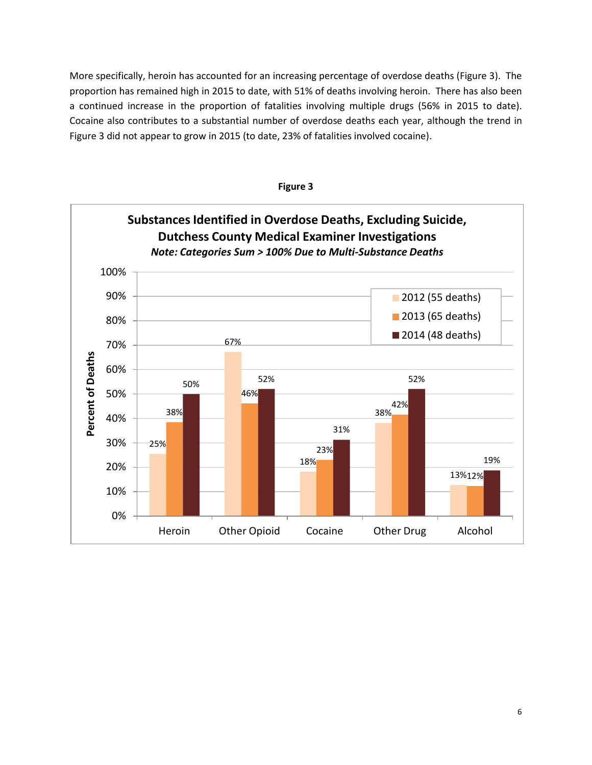More specifically, heroin has accounted for an increasing percentage of overdose deaths (Figure 3). The proportion has remained high in 2015 to date, with 51% of deaths involving heroin. There has also been a continued increase in the proportion of fatalities involving multiple drugs (56% in 2015 to date). Cocaine also contributes to a substantial number of overdose deaths each year, although the trend in Figure 3 did not appear to grow in 2015 (to date, 23% of fatalities involved cocaine).



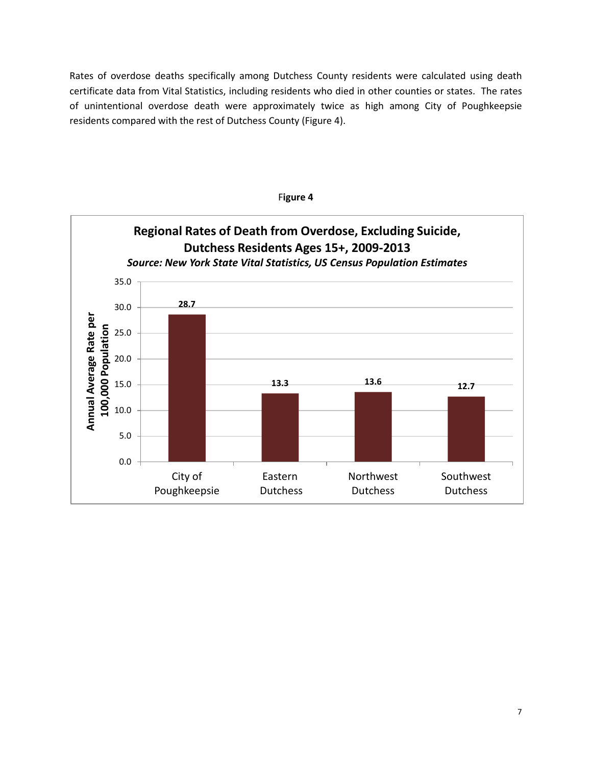Rates of overdose deaths specifically among Dutchess County residents were calculated using death certificate data from Vital Statistics, including residents who died in other counties or states. The rates of unintentional overdose death were approximately twice as high among City of Poughkeepsie residents compared with the rest of Dutchess County (Figure 4).



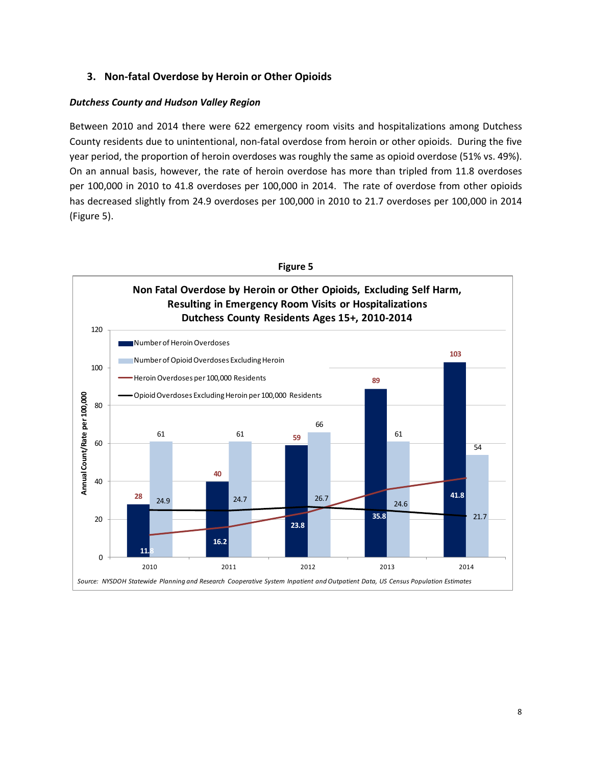#### **3. Non-fatal Overdose by Heroin or Other Opioids**

#### *Dutchess County and Hudson Valley Region*

Between 2010 and 2014 there were 622 emergency room visits and hospitalizations among Dutchess County residents due to unintentional, non-fatal overdose from heroin or other opioids. During the five year period, the proportion of heroin overdoses was roughly the same as opioid overdose (51% vs. 49%). On an annual basis, however, the rate of heroin overdose has more than tripled from 11.8 overdoses per 100,000 in 2010 to 41.8 overdoses per 100,000 in 2014. The rate of overdose from other opioids has decreased slightly from 24.9 overdoses per 100,000 in 2010 to 21.7 overdoses per 100,000 in 2014 (Figure 5).

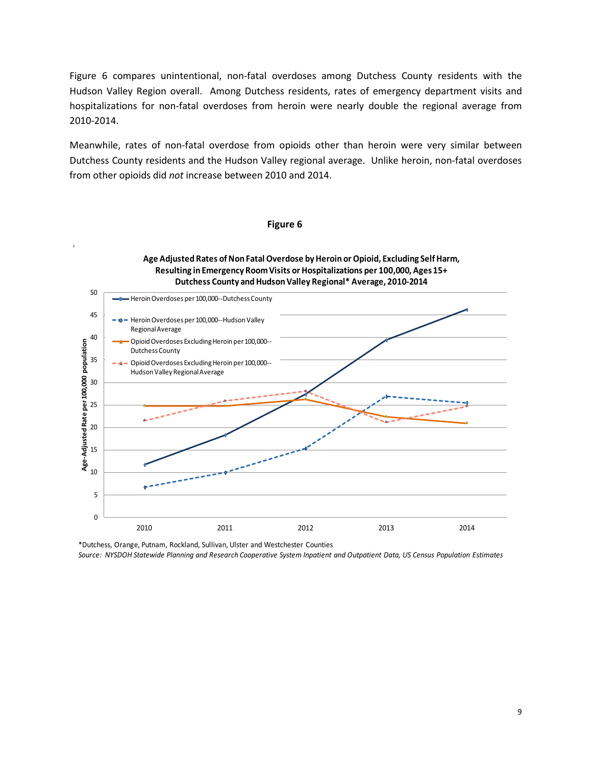Figure 6 compares unintentional, non-fatal overdoses among Dutchess County residents with the Hudson Valley Region overall. Among Dutchess residents, rates of emergency department visits and hospitalizations for non-fatal overdoses from heroin were nearly double the regional average from 2010-2014.

Meanwhile, rates of non-fatal overdose from opioids other than heroin were very similar between Dutchess County residents and the Hudson Valley regional average. Unlike heroin, non-fatal overdoses from other opioids did *not* increase between 2010 and 2014.

#### **Figure 6**

#### **Age Adjusted Rates of Non Fatal Overdose by Heroin or Opioid, Excluding Self Harm, Resulting in Emergency Room Visits or Hospitalizations per 100,000, Ages 15+ Dutchess County and Hudson Valley Regional\* Average, 2010-2014**



\*Dutchess, Orange, Putnam, Rockland, Sullivan, Ulster and Westchester Counties *Source: NYSDOH Statewide Planning and Research Cooperative System Inpatient and Outpatient Data, US Census Population Estimates*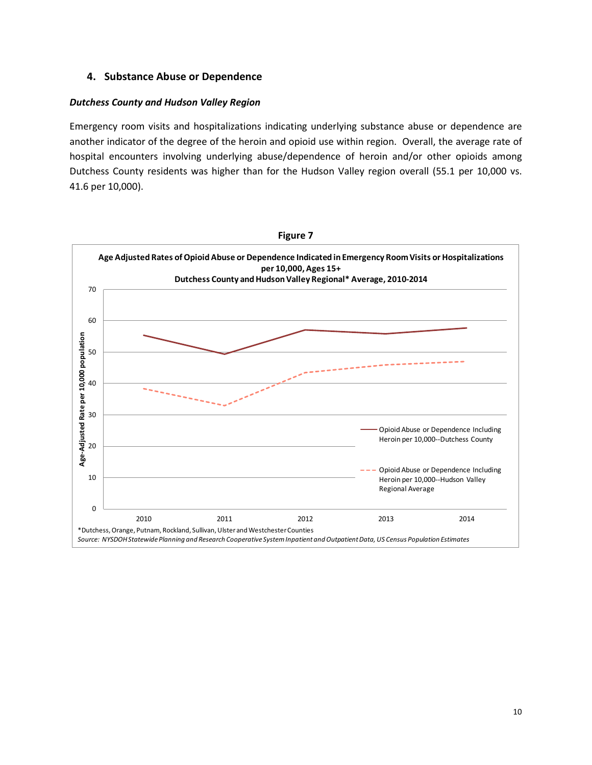#### **4. Substance Abuse or Dependence**

#### *Dutchess County and Hudson Valley Region*

Emergency room visits and hospitalizations indicating underlying substance abuse or dependence are another indicator of the degree of the heroin and opioid use within region. Overall, the average rate of hospital encounters involving underlying abuse/dependence of heroin and/or other opioids among Dutchess County residents was higher than for the Hudson Valley region overall (55.1 per 10,000 vs. 41.6 per 10,000).

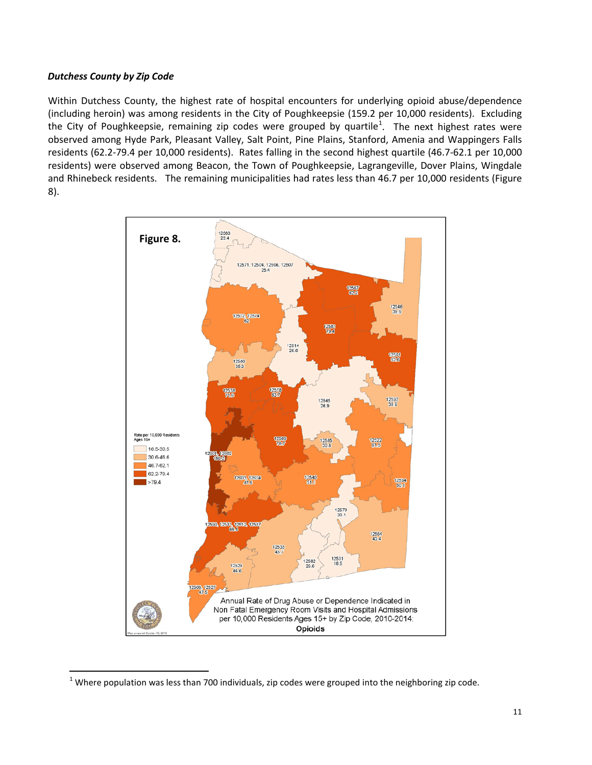#### *Dutchess County by Zip Code*

Within Dutchess County, the highest rate of hospital encounters for underlying opioid abuse/dependence (including heroin) was among residents in the City of Poughkeepsie (159.2 per 10,000 residents). Excluding the City of Poughkeepsie, remaining zip codes were grouped by quartile<sup>[1](#page-12-0)</sup>. The next highest rates were observed among Hyde Park, Pleasant Valley, Salt Point, Pine Plains, Stanford, Amenia and Wappingers Falls residents (62.2-79.4 per 10,000 residents). Rates falling in the second highest quartile (46.7-62.1 per 10,000 residents) were observed among Beacon, the Town of Poughkeepsie, Lagrangeville, Dover Plains, Wingdale and Rhinebeck residents. The remaining municipalities had rates less than 46.7 per 10,000 residents (Figure 8).



<span id="page-12-0"></span> $1$  Where population was less than 700 individuals, zip codes were grouped into the neighboring zip code.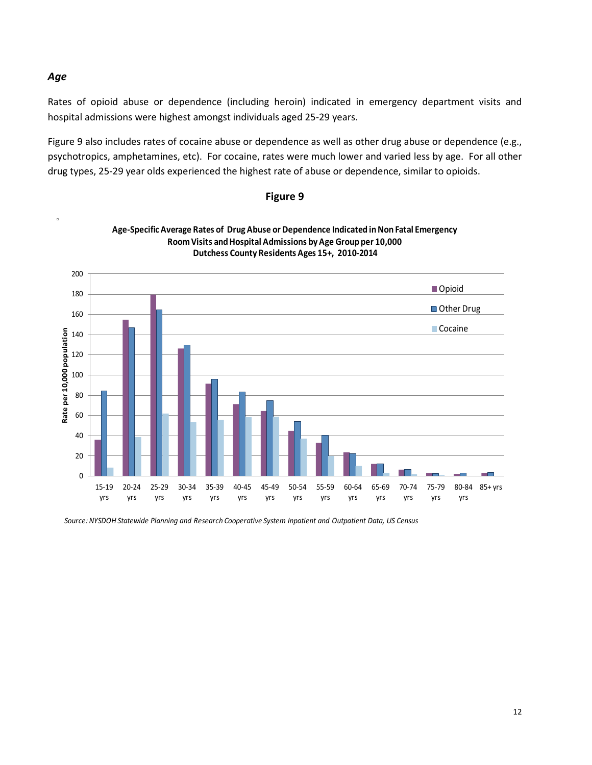#### *Age*

Rates of opioid abuse or dependence (including heroin) indicated in emergency department visits and hospital admissions were highest amongst individuals aged 25-29 years.

Figure 9 also includes rates of cocaine abuse or dependence as well as other drug abuse or dependence (e.g., psychotropics, amphetamines, etc). For cocaine, rates were much lower and varied less by age. For all other drug types, 25-29 year olds experienced the highest rate of abuse or dependence, similar to opioids.

**Figure 9**



*Source: NYSDOH Statewide Planning and Research Cooperative System Inpatient and Outpatient Data, US Census*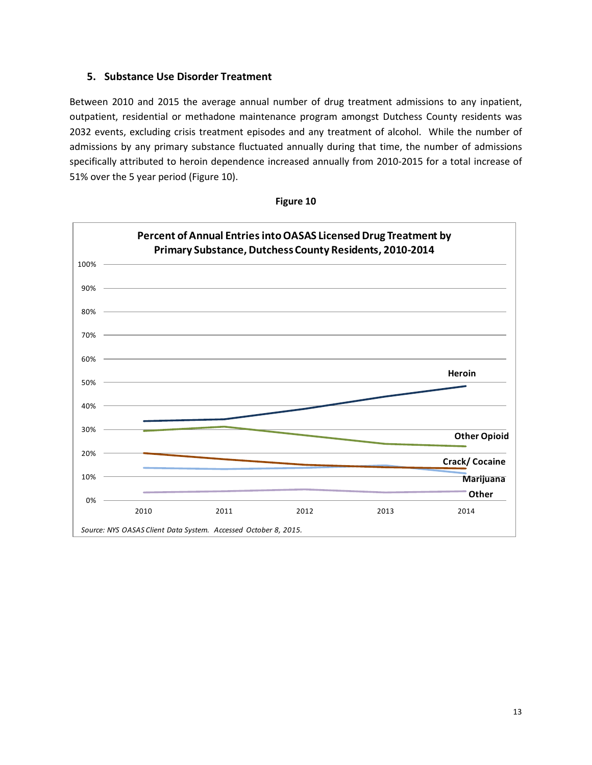#### **5. Substance Use Disorder Treatment**

Between 2010 and 2015 the average annual number of drug treatment admissions to any inpatient, outpatient, residential or methadone maintenance program amongst Dutchess County residents was 2032 events, excluding crisis treatment episodes and any treatment of alcohol. While the number of admissions by any primary substance fluctuated annually during that time, the number of admissions specifically attributed to heroin dependence increased annually from 2010-2015 for a total increase of 51% over the 5 year period (Figure 10).



**Figure 10**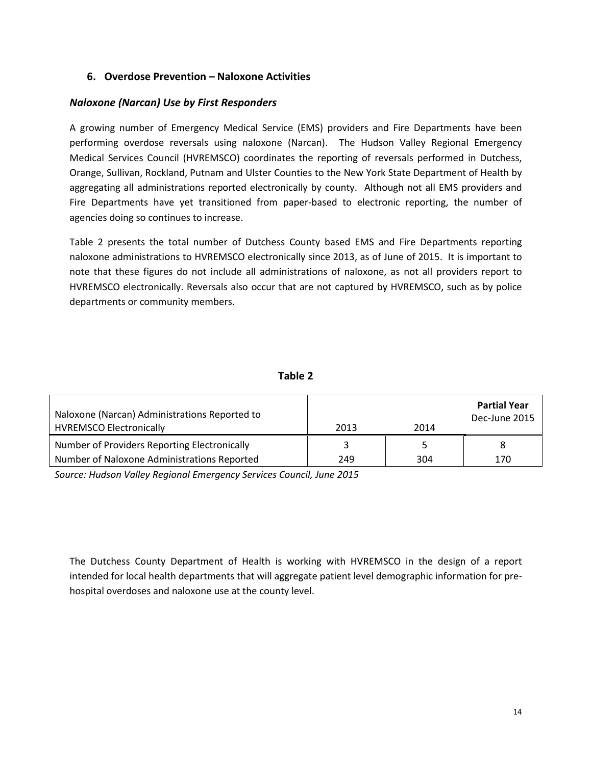#### **6. Overdose Prevention – Naloxone Activities**

#### *Naloxone (Narcan) Use by First Responders*

A growing number of Emergency Medical Service (EMS) providers and Fire Departments have been performing overdose reversals using naloxone (Narcan). The Hudson Valley Regional Emergency Medical Services Council (HVREMSCO) coordinates the reporting of reversals performed in Dutchess, Orange, Sullivan, Rockland, Putnam and Ulster Counties to the New York State Department of Health by aggregating all administrations reported electronically by county. Although not all EMS providers and Fire Departments have yet transitioned from paper-based to electronic reporting, the number of agencies doing so continues to increase.

Table 2 presents the total number of Dutchess County based EMS and Fire Departments reporting naloxone administrations to HVREMSCO electronically since 2013, as of June of 2015. It is important to note that these figures do not include all administrations of naloxone, as not all providers report to HVREMSCO electronically. Reversals also occur that are not captured by HVREMSCO, such as by police departments or community members.

#### **Table 2**

| Naloxone (Narcan) Administrations Reported to<br><b>HVREMSCO Electronically</b> | 2013 | 2014 | <b>Partial Year</b><br>Dec-June 2015 |
|---------------------------------------------------------------------------------|------|------|--------------------------------------|
| Number of Providers Reporting Electronically                                    |      |      |                                      |
| Number of Naloxone Administrations Reported                                     | 249  | 304  | 170                                  |

*Source: Hudson Valley Regional Emergency Services Council, June 2015*

The Dutchess County Department of Health is working with HVREMSCO in the design of a report intended for local health departments that will aggregate patient level demographic information for prehospital overdoses and naloxone use at the county level.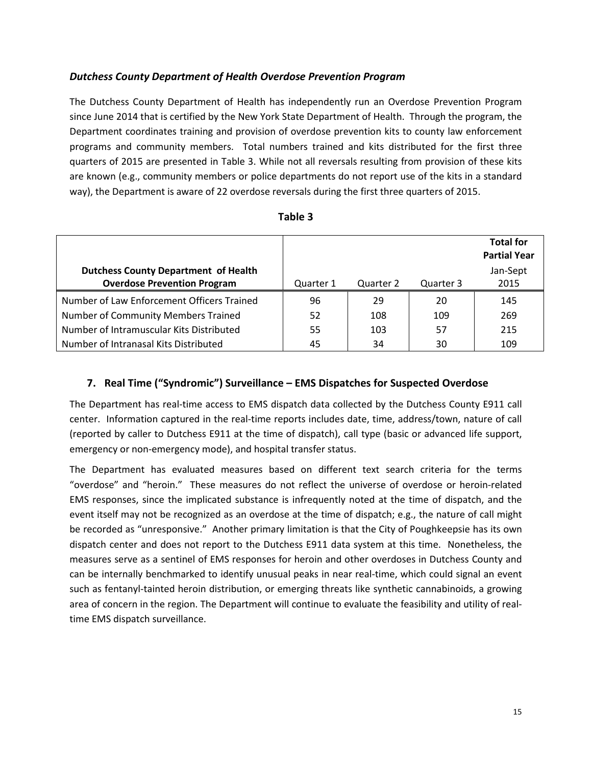#### *Dutchess County Department of Health Overdose Prevention Program*

The Dutchess County Department of Health has independently run an Overdose Prevention Program since June 2014 that is certified by the New York State Department of Health. Through the program, the Department coordinates training and provision of overdose prevention kits to county law enforcement programs and community members. Total numbers trained and kits distributed for the first three quarters of 2015 are presented in Table 3. While not all reversals resulting from provision of these kits are known (e.g., community members or police departments do not report use of the kits in a standard way), the Department is aware of 22 overdose reversals during the first three quarters of 2015.

|                                             |           |           |           | <b>Total for</b><br><b>Partial Year</b> |
|---------------------------------------------|-----------|-----------|-----------|-----------------------------------------|
| <b>Dutchess County Department of Health</b> |           |           |           | Jan-Sept                                |
| <b>Overdose Prevention Program</b>          | Quarter 1 | Quarter 2 | Quarter 3 | 2015                                    |
| Number of Law Enforcement Officers Trained  | 96        | 29        | 20        | 145                                     |
| Number of Community Members Trained         | 52        | 108       | 109       | 269                                     |
| Number of Intramuscular Kits Distributed    | 55        | 103       | 57        | 215                                     |
| Number of Intranasal Kits Distributed       | 45        | 34        | 30        | 109                                     |

| able |
|------|
|------|

#### **7. Real Time ("Syndromic") Surveillance – EMS Dispatches for Suspected Overdose**

The Department has real-time access to EMS dispatch data collected by the Dutchess County E911 call center. Information captured in the real-time reports includes date, time, address/town, nature of call (reported by caller to Dutchess E911 at the time of dispatch), call type (basic or advanced life support, emergency or non-emergency mode), and hospital transfer status.

The Department has evaluated measures based on different text search criteria for the terms "overdose" and "heroin." These measures do not reflect the universe of overdose or heroin-related EMS responses, since the implicated substance is infrequently noted at the time of dispatch, and the event itself may not be recognized as an overdose at the time of dispatch; e.g., the nature of call might be recorded as "unresponsive." Another primary limitation is that the City of Poughkeepsie has its own dispatch center and does not report to the Dutchess E911 data system at this time. Nonetheless, the measures serve as a sentinel of EMS responses for heroin and other overdoses in Dutchess County and can be internally benchmarked to identify unusual peaks in near real-time, which could signal an event such as fentanyl-tainted heroin distribution, or emerging threats like synthetic cannabinoids, a growing area of concern in the region. The Department will continue to evaluate the feasibility and utility of realtime EMS dispatch surveillance.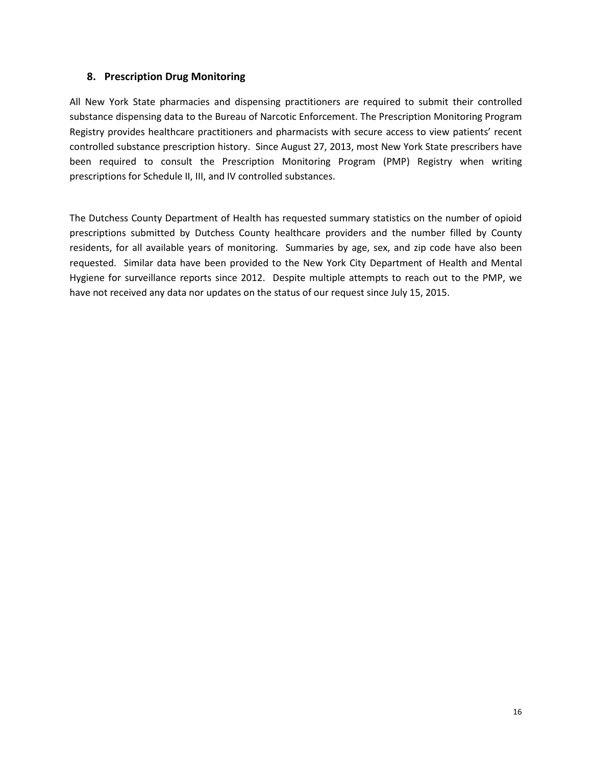#### **8. Prescription Drug Monitoring**

All New York State pharmacies and dispensing practitioners are required to submit their controlled substance dispensing data to the Bureau of Narcotic Enforcement. The Prescription Monitoring Program Registry provides healthcare practitioners and pharmacists with secure access to view patients' recent controlled substance prescription history. Since August 27, 2013, most New York State prescribers have been required to consult the Prescription Monitoring Program (PMP) Registry when writing prescriptions for Schedule II, III, and IV controlled substances.

The Dutchess County Department of Health has requested summary statistics on the number of opioid prescriptions submitted by Dutchess County healthcare providers and the number filled by County residents, for all available years of monitoring. Summaries by age, sex, and zip code have also been requested. Similar data have been provided to the New York City Department of Health and Mental Hygiene for surveillance reports since 2012. Despite multiple attempts to reach out to the PMP, we have not received any data nor updates on the status of our request since July 15, 2015.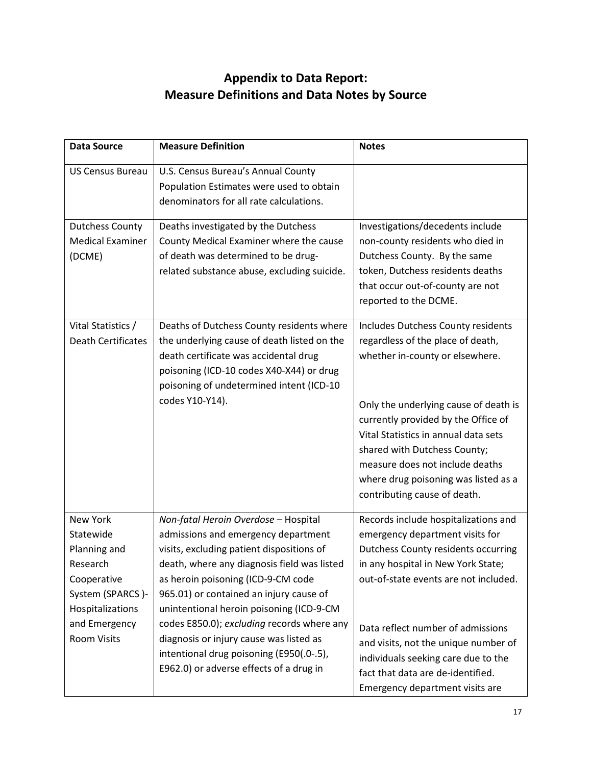## **Appendix to Data Report: Measure Definitions and Data Notes by Source**

| <b>Data Source</b>                                                                                                                                     | <b>Measure Definition</b>                                                                                                                                                                                                                                                                                                                                                                                                                                                            | <b>Notes</b>                                                                                                                                                                                                                                                                                                                                                                                     |
|--------------------------------------------------------------------------------------------------------------------------------------------------------|--------------------------------------------------------------------------------------------------------------------------------------------------------------------------------------------------------------------------------------------------------------------------------------------------------------------------------------------------------------------------------------------------------------------------------------------------------------------------------------|--------------------------------------------------------------------------------------------------------------------------------------------------------------------------------------------------------------------------------------------------------------------------------------------------------------------------------------------------------------------------------------------------|
| <b>US Census Bureau</b>                                                                                                                                | U.S. Census Bureau's Annual County<br>Population Estimates were used to obtain<br>denominators for all rate calculations.                                                                                                                                                                                                                                                                                                                                                            |                                                                                                                                                                                                                                                                                                                                                                                                  |
| <b>Dutchess County</b><br><b>Medical Examiner</b><br>(DCME)                                                                                            | Deaths investigated by the Dutchess<br>County Medical Examiner where the cause<br>of death was determined to be drug-<br>related substance abuse, excluding suicide.                                                                                                                                                                                                                                                                                                                 | Investigations/decedents include<br>non-county residents who died in<br>Dutchess County. By the same<br>token, Dutchess residents deaths<br>that occur out-of-county are not<br>reported to the DCME.                                                                                                                                                                                            |
| Vital Statistics /<br><b>Death Certificates</b>                                                                                                        | Deaths of Dutchess County residents where<br>the underlying cause of death listed on the<br>death certificate was accidental drug<br>poisoning (ICD-10 codes X40-X44) or drug<br>poisoning of undetermined intent (ICD-10<br>codes Y10-Y14).                                                                                                                                                                                                                                         | Includes Dutchess County residents<br>regardless of the place of death,<br>whether in-county or elsewhere.<br>Only the underlying cause of death is<br>currently provided by the Office of<br>Vital Statistics in annual data sets<br>shared with Dutchess County;<br>measure does not include deaths<br>where drug poisoning was listed as a<br>contributing cause of death.                    |
| <b>New York</b><br>Statewide<br>Planning and<br>Research<br>Cooperative<br>System (SPARCS)-<br>Hospitalizations<br>and Emergency<br><b>Room Visits</b> | Non-fatal Heroin Overdose - Hospital<br>admissions and emergency department<br>visits, excluding patient dispositions of<br>death, where any diagnosis field was listed<br>as heroin poisoning (ICD-9-CM code<br>965.01) or contained an injury cause of<br>unintentional heroin poisoning (ICD-9-CM<br>codes E850.0); excluding records where any<br>diagnosis or injury cause was listed as<br>intentional drug poisoning (E950(.0-.5),<br>E962.0) or adverse effects of a drug in | Records include hospitalizations and<br>emergency department visits for<br><b>Dutchess County residents occurring</b><br>in any hospital in New York State;<br>out-of-state events are not included.<br>Data reflect number of admissions<br>and visits, not the unique number of<br>individuals seeking care due to the<br>fact that data are de-identified.<br>Emergency department visits are |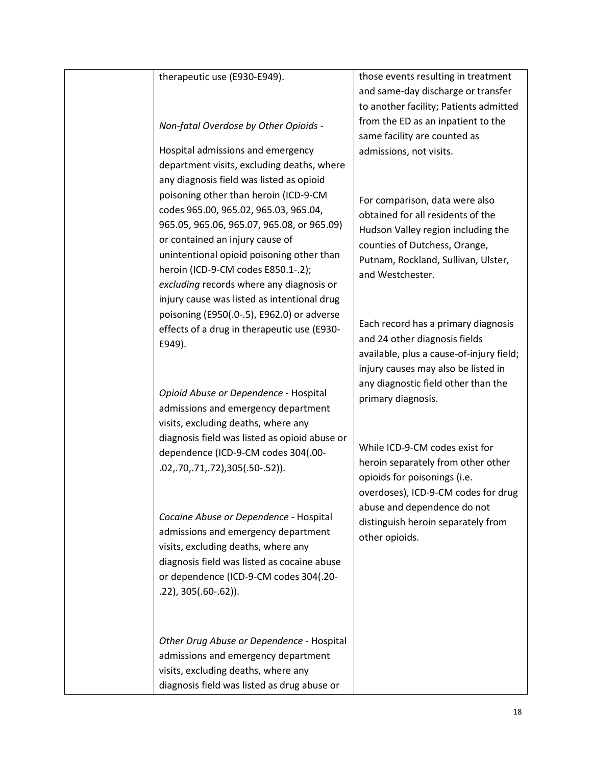#### therapeutic use (E930-E949).

*Non-fatal Overdose by Other Opioids* -

Hospital admissions and emergency department visits, excluding deaths, where any diagnosis field was listed as opioid poisoning other than heroin (ICD-9-CM codes 965.00, 965.02, 965.03, 965.04, 965.05, 965.06, 965.07, 965.08, or 965.09) or contained an injury cause of unintentional opioid poisoning other than heroin (ICD-9-CM codes E850.1-.2); *excluding* records where any diagnosis or injury cause was listed as intentional drug poisoning (E950(.0-.5), E962.0) or adverse effects of a drug in therapeutic use (E930- E949).

*Opioid Abuse or Dependence* - Hospital admissions and emergency department visits, excluding deaths, where any diagnosis field was listed as opioid abuse or dependence (ICD-9-CM codes 304(.00- .02,.70,.71,.72),305(.50-.52)).

*Cocaine Abuse or Dependence -* Hospital admissions and emergency department visits, excluding deaths, where any diagnosis field was listed as cocaine abuse or dependence (ICD-9-CM codes 304(.20- .22), 305(.60-.62)).

*Other Drug Abuse or Dependence* - Hospital admissions and emergency department visits, excluding deaths, where any diagnosis field was listed as drug abuse or

those events resulting in treatment and same-day discharge or transfer to another facility; Patients admitted from the ED as an inpatient to the same facility are counted as admissions, not visits.

For comparison, data were also obtained for all residents of the Hudson Valley region including the counties of Dutchess, Orange, Putnam, Rockland, Sullivan, Ulster, and Westchester.

Each record has a primary diagnosis and 24 other diagnosis fields available, plus a cause-of-injury field; injury causes may also be listed in any diagnostic field other than the primary diagnosis.

While ICD-9-CM codes exist for heroin separately from other other opioids for poisonings (i.e. overdoses), ICD-9-CM codes for drug abuse and dependence do not distinguish heroin separately from other opioids.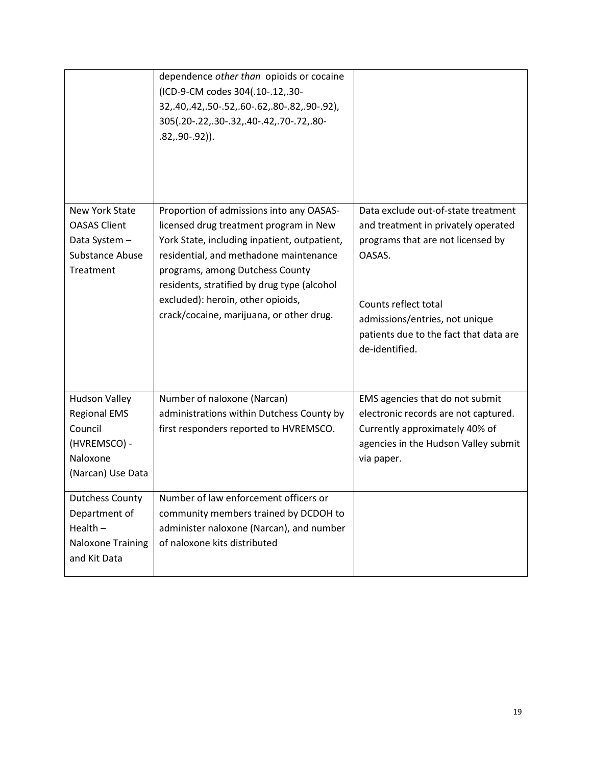|                                                                                                         | dependence other than opioids or cocaine<br>(ICD-9-CM codes 304(.10-.12,.30-<br>32, 40, 42, 50-.52, 60-.62, 80-.82, 90-.92),<br>305(.20-.22,.30-.32,.40-.42,.70-.72,.80-<br>$.82, .90-.92$ ). |                                                                                                                                                                 |
|---------------------------------------------------------------------------------------------------------|-----------------------------------------------------------------------------------------------------------------------------------------------------------------------------------------------|-----------------------------------------------------------------------------------------------------------------------------------------------------------------|
| <b>New York State</b><br><b>OASAS Client</b><br>Data System -<br>Substance Abuse                        | Proportion of admissions into any OASAS-<br>licensed drug treatment program in New<br>York State, including inpatient, outpatient,<br>residential, and methadone maintenance                  | Data exclude out-of-state treatment<br>and treatment in privately operated<br>programs that are not licensed by<br>OASAS.                                       |
| Treatment                                                                                               | programs, among Dutchess County<br>residents, stratified by drug type (alcohol<br>excluded): heroin, other opioids,<br>crack/cocaine, marijuana, or other drug.                               | Counts reflect total<br>admissions/entries, not unique<br>patients due to the fact that data are<br>de-identified.                                              |
| <b>Hudson Valley</b><br><b>Regional EMS</b><br>Council<br>(HVREMSCO) -<br>Naloxone<br>(Narcan) Use Data | Number of naloxone (Narcan)<br>administrations within Dutchess County by<br>first responders reported to HVREMSCO.                                                                            | EMS agencies that do not submit<br>electronic records are not captured.<br>Currently approximately 40% of<br>agencies in the Hudson Valley submit<br>via paper. |
| <b>Dutchess County</b><br>Department of<br>Health $-$<br>Naloxone Training<br>and Kit Data              | Number of law enforcement officers or<br>community members trained by DCDOH to<br>administer naloxone (Narcan), and number<br>of naloxone kits distributed                                    |                                                                                                                                                                 |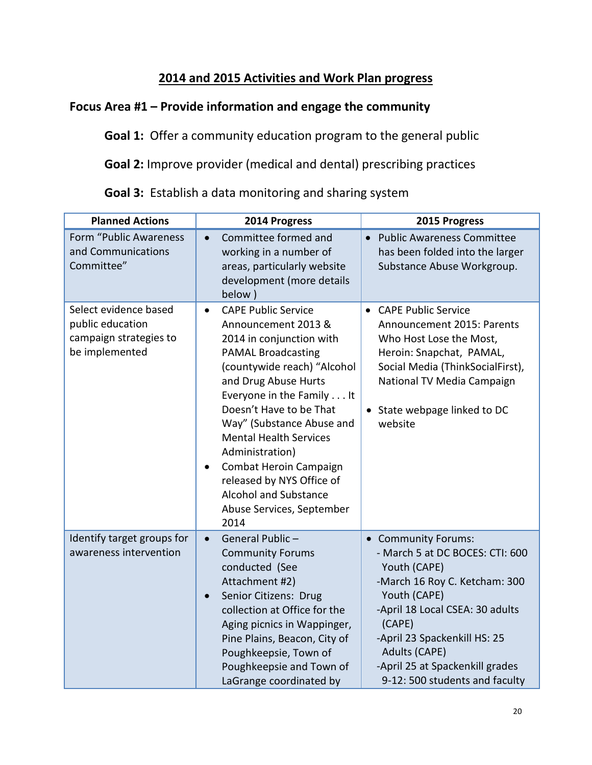## **2014 and 2015 Activities and Work Plan progress**

## **Focus Area #1 – Provide information and engage the community**

**Goal 1:** Offer a community education program to the general public

**Goal 2:** Improve provider (medical and dental) prescribing practices

| <b>Planned Actions</b>                                                                | 2014 Progress                                                                                                                                                                                                                                                                                                                                                                                                                                                    | 2015 Progress                                                                                                                                                                                                                                                                              |
|---------------------------------------------------------------------------------------|------------------------------------------------------------------------------------------------------------------------------------------------------------------------------------------------------------------------------------------------------------------------------------------------------------------------------------------------------------------------------------------------------------------------------------------------------------------|--------------------------------------------------------------------------------------------------------------------------------------------------------------------------------------------------------------------------------------------------------------------------------------------|
| Form "Public Awareness<br>and Communications<br>Committee"                            | Committee formed and<br>$\bullet$<br>working in a number of<br>areas, particularly website<br>development (more details<br>below)                                                                                                                                                                                                                                                                                                                                | <b>Public Awareness Committee</b><br>$\bullet$<br>has been folded into the larger<br>Substance Abuse Workgroup.                                                                                                                                                                            |
| Select evidence based<br>public education<br>campaign strategies to<br>be implemented | <b>CAPE Public Service</b><br>$\bullet$<br>Announcement 2013 &<br>2014 in conjunction with<br><b>PAMAL Broadcasting</b><br>(countywide reach) "Alcohol<br>and Drug Abuse Hurts<br>Everyone in the Family It<br>Doesn't Have to be That<br>Way" (Substance Abuse and<br><b>Mental Health Services</b><br>Administration)<br>Combat Heroin Campaign<br>$\bullet$<br>released by NYS Office of<br><b>Alcohol and Substance</b><br>Abuse Services, September<br>2014 | • CAPE Public Service<br>Announcement 2015: Parents<br>Who Host Lose the Most,<br>Heroin: Snapchat, PAMAL,<br>Social Media (ThinkSocialFirst),<br>National TV Media Campaign<br>• State webpage linked to DC<br>website                                                                    |
| Identify target groups for<br>awareness intervention                                  | General Public -<br>$\bullet$<br><b>Community Forums</b><br>conducted (See<br>Attachment #2)<br>Senior Citizens: Drug<br>$\bullet$<br>collection at Office for the<br>Aging picnics in Wappinger,<br>Pine Plains, Beacon, City of<br>Poughkeepsie, Town of<br>Poughkeepsie and Town of<br>LaGrange coordinated by                                                                                                                                                | • Community Forums:<br>- March 5 at DC BOCES: CTI: 600<br>Youth (CAPE)<br>-March 16 Roy C. Ketcham: 300<br>Youth (CAPE)<br>-April 18 Local CSEA: 30 adults<br>(CAPE)<br>-April 23 Spackenkill HS: 25<br>Adults (CAPE)<br>-April 25 at Spackenkill grades<br>9-12: 500 students and faculty |

**Goal 3:** Establish a data monitoring and sharing system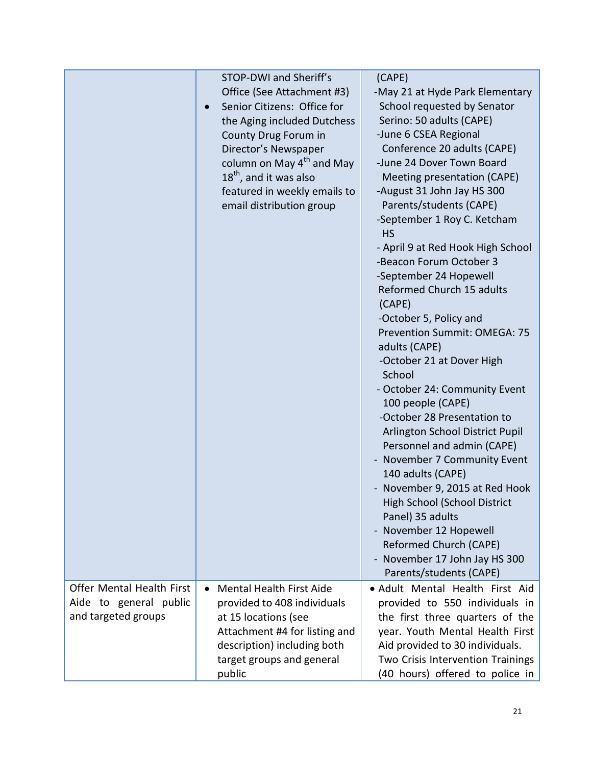|                           | STOP-DWI and Sheriff's                | (CAPE)                              |
|---------------------------|---------------------------------------|-------------------------------------|
|                           | Office (See Attachment #3)            | -May 21 at Hyde Park Elementary     |
|                           | Senior Citizens: Office for           | School requested by Senator         |
|                           | the Aging included Dutchess           | Serino: 50 adults (CAPE)            |
|                           | County Drug Forum in                  | -June 6 CSEA Regional               |
|                           | Director's Newspaper                  | Conference 20 adults (CAPE)         |
|                           | column on May 4 <sup>th</sup> and May | -June 24 Dover Town Board           |
|                           | $18th$ , and it was also              | Meeting presentation (CAPE)         |
|                           | featured in weekly emails to          | -August 31 John Jay HS 300          |
|                           | email distribution group              | Parents/students (CAPE)             |
|                           |                                       | -September 1 Roy C. Ketcham         |
|                           |                                       | <b>HS</b>                           |
|                           |                                       | - April 9 at Red Hook High School   |
|                           |                                       | -Beacon Forum October 3             |
|                           |                                       | -September 24 Hopewell              |
|                           |                                       | Reformed Church 15 adults           |
|                           |                                       | (CAPE)                              |
|                           |                                       | -October 5, Policy and              |
|                           |                                       | Prevention Summit: OMEGA: 75        |
|                           |                                       | adults (CAPE)                       |
|                           |                                       | -October 21 at Dover High           |
|                           |                                       | School                              |
|                           |                                       | - October 24: Community Event       |
|                           |                                       | 100 people (CAPE)                   |
|                           |                                       | -October 28 Presentation to         |
|                           |                                       | Arlington School District Pupil     |
|                           |                                       | Personnel and admin (CAPE)          |
|                           |                                       | - November 7 Community Event        |
|                           |                                       | 140 adults (CAPE)                   |
|                           |                                       | - November 9, 2015 at Red Hook      |
|                           |                                       | <b>High School (School District</b> |
|                           |                                       | Panel) 35 adults                    |
|                           |                                       | - November 12 Hopewell              |
|                           |                                       | Reformed Church (CAPE)              |
|                           |                                       | - November 17 John Jay HS 300       |
|                           |                                       | Parents/students (CAPE)             |
| Offer Mental Health First | <b>Mental Health First Aide</b>       | · Adult Mental Health First Aid     |
| Aide to general public    | provided to 408 individuals           | provided to 550 individuals in      |
| and targeted groups       | at 15 locations (see                  | the first three quarters of the     |
|                           | Attachment #4 for listing and         | year. Youth Mental Health First     |
|                           | description) including both           | Aid provided to 30 individuals.     |
|                           | target groups and general             | Two Crisis Intervention Trainings   |
|                           | public                                | (40 hours) offered to police in     |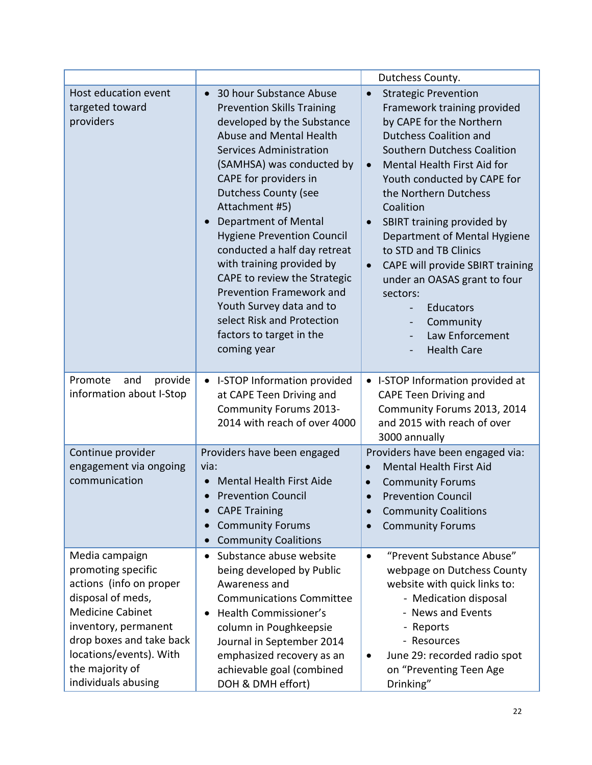|                                                                                                                                                                                                                                          |                                                                                                                                                                                                                                                                                                                                                                                                                                                                                                                                                                        | Dutchess County.                                                                                                                                                                                                                                                                                                                                                                                                                                                                                                                                         |
|------------------------------------------------------------------------------------------------------------------------------------------------------------------------------------------------------------------------------------------|------------------------------------------------------------------------------------------------------------------------------------------------------------------------------------------------------------------------------------------------------------------------------------------------------------------------------------------------------------------------------------------------------------------------------------------------------------------------------------------------------------------------------------------------------------------------|----------------------------------------------------------------------------------------------------------------------------------------------------------------------------------------------------------------------------------------------------------------------------------------------------------------------------------------------------------------------------------------------------------------------------------------------------------------------------------------------------------------------------------------------------------|
| Host education event<br>targeted toward<br>providers                                                                                                                                                                                     | 30 hour Substance Abuse<br>$\bullet$<br><b>Prevention Skills Training</b><br>developed by the Substance<br>Abuse and Mental Health<br><b>Services Administration</b><br>(SAMHSA) was conducted by<br>CAPE for providers in<br><b>Dutchess County (see</b><br>Attachment #5)<br>Department of Mental<br><b>Hygiene Prevention Council</b><br>conducted a half day retreat<br>with training provided by<br>CAPE to review the Strategic<br>Prevention Framework and<br>Youth Survey data and to<br>select Risk and Protection<br>factors to target in the<br>coming year | <b>Strategic Prevention</b><br>$\bullet$<br>Framework training provided<br>by CAPE for the Northern<br><b>Dutchess Coalition and</b><br>Southern Dutchess Coalition<br>Mental Health First Aid for<br>$\bullet$<br>Youth conducted by CAPE for<br>the Northern Dutchess<br>Coalition<br>SBIRT training provided by<br>$\bullet$<br>Department of Mental Hygiene<br>to STD and TB Clinics<br>CAPE will provide SBIRT training<br>$\bullet$<br>under an OASAS grant to four<br>sectors:<br>Educators<br>Community<br>Law Enforcement<br><b>Health Care</b> |
| Promote<br>and<br>provide<br>information about I-Stop                                                                                                                                                                                    | • I-STOP Information provided<br>at CAPE Teen Driving and<br><b>Community Forums 2013-</b><br>2014 with reach of over 4000                                                                                                                                                                                                                                                                                                                                                                                                                                             | • I-STOP Information provided at<br><b>CAPE Teen Driving and</b><br>Community Forums 2013, 2014<br>and 2015 with reach of over<br>3000 annually                                                                                                                                                                                                                                                                                                                                                                                                          |
| Continue provider<br>engagement via ongoing<br>communication                                                                                                                                                                             | Providers have been engaged<br>via:<br><b>Mental Health First Aide</b><br><b>Prevention Council</b><br>$\bullet$<br><b>CAPE Training</b><br><b>Community Forums</b><br><b>Community Coalitions</b><br>$\bullet$                                                                                                                                                                                                                                                                                                                                                        | Providers have been engaged via:<br><b>Mental Health First Aid</b><br>$\bullet$<br><b>Community Forums</b><br>$\bullet$<br><b>Prevention Council</b><br><b>Community Coalitions</b><br><b>Community Forums</b>                                                                                                                                                                                                                                                                                                                                           |
| Media campaign<br>promoting specific<br>actions (info on proper<br>disposal of meds,<br><b>Medicine Cabinet</b><br>inventory, permanent<br>drop boxes and take back<br>locations/events). With<br>the majority of<br>individuals abusing | Substance abuse website<br>$\bullet$<br>being developed by Public<br>Awareness and<br><b>Communications Committee</b><br><b>Health Commissioner's</b><br>$\bullet$<br>column in Poughkeepsie<br>Journal in September 2014<br>emphasized recovery as an<br>achievable goal (combined<br>DOH & DMH effort)                                                                                                                                                                                                                                                               | "Prevent Substance Abuse"<br>$\bullet$<br>webpage on Dutchess County<br>website with quick links to:<br>- Medication disposal<br>- News and Events<br>- Reports<br>- Resources<br>June 29: recorded radio spot<br>on "Preventing Teen Age<br>Drinking"                                                                                                                                                                                                                                                                                                   |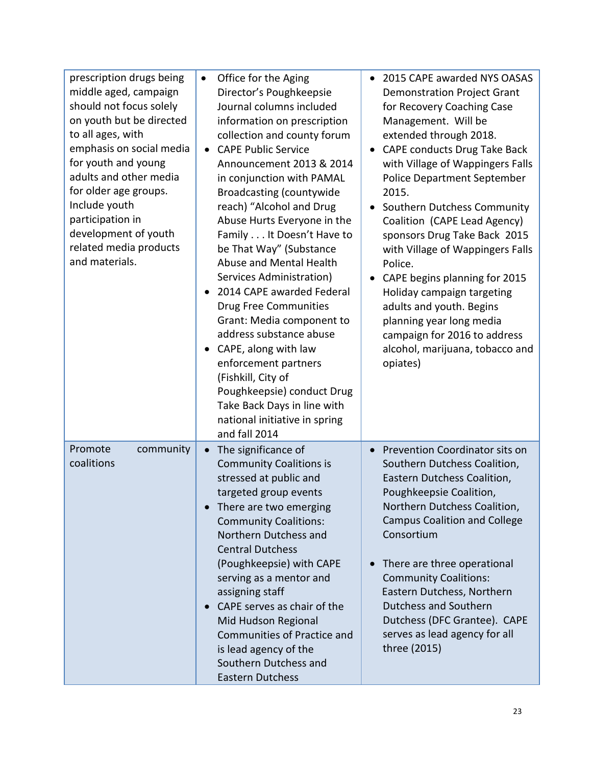| prescription drugs being<br>middle aged, campaign<br>should not focus solely<br>on youth but be directed<br>to all ages, with<br>emphasis on social media<br>for youth and young<br>adults and other media<br>for older age groups.<br>Include youth<br>participation in<br>development of youth<br>related media products<br>and materials. | Office for the Aging<br>$\bullet$<br>Director's Poughkeepsie<br>Journal columns included<br>information on prescription<br>collection and county forum<br><b>CAPE Public Service</b><br>$\bullet$<br>Announcement 2013 & 2014<br>in conjunction with PAMAL<br><b>Broadcasting (countywide</b><br>reach) "Alcohol and Drug<br>Abuse Hurts Everyone in the<br>Family It Doesn't Have to<br>be That Way" (Substance<br>Abuse and Mental Health<br>Services Administration)<br>2014 CAPE awarded Federal<br><b>Drug Free Communities</b><br>Grant: Media component to<br>address substance abuse<br>CAPE, along with law<br>$\bullet$<br>enforcement partners<br>(Fishkill, City of<br>Poughkeepsie) conduct Drug<br>Take Back Days in line with<br>national initiative in spring<br>and fall 2014 | 2015 CAPE awarded NYS OASAS<br>$\bullet$<br><b>Demonstration Project Grant</b><br>for Recovery Coaching Case<br>Management. Will be<br>extended through 2018.<br>CAPE conducts Drug Take Back<br>$\bullet$<br>with Village of Wappingers Falls<br><b>Police Department September</b><br>2015.<br>Southern Dutchess Community<br>$\bullet$<br>Coalition (CAPE Lead Agency)<br>sponsors Drug Take Back 2015<br>with Village of Wappingers Falls<br>Police.<br>CAPE begins planning for 2015<br>$\bullet$<br>Holiday campaign targeting<br>adults and youth. Begins<br>planning year long media<br>campaign for 2016 to address<br>alcohol, marijuana, tobacco and<br>opiates) |
|----------------------------------------------------------------------------------------------------------------------------------------------------------------------------------------------------------------------------------------------------------------------------------------------------------------------------------------------|------------------------------------------------------------------------------------------------------------------------------------------------------------------------------------------------------------------------------------------------------------------------------------------------------------------------------------------------------------------------------------------------------------------------------------------------------------------------------------------------------------------------------------------------------------------------------------------------------------------------------------------------------------------------------------------------------------------------------------------------------------------------------------------------|-----------------------------------------------------------------------------------------------------------------------------------------------------------------------------------------------------------------------------------------------------------------------------------------------------------------------------------------------------------------------------------------------------------------------------------------------------------------------------------------------------------------------------------------------------------------------------------------------------------------------------------------------------------------------------|
| Promote<br>community<br>coalitions                                                                                                                                                                                                                                                                                                           | The significance of<br>$\bullet$<br><b>Community Coalitions is</b><br>stressed at public and<br>targeted group events<br>There are two emerging<br>$\bullet$<br><b>Community Coalitions:</b><br>Northern Dutchess and<br><b>Central Dutchess</b><br>(Poughkeepsie) with CAPE<br>serving as a mentor and<br>assigning staff<br>CAPE serves as chair of the<br>$\bullet$<br>Mid Hudson Regional<br>Communities of Practice and<br>is lead agency of the<br>Southern Dutchess and<br><b>Eastern Dutchess</b>                                                                                                                                                                                                                                                                                      | Prevention Coordinator sits on<br>$\bullet$<br>Southern Dutchess Coalition,<br>Eastern Dutchess Coalition,<br>Poughkeepsie Coalition,<br>Northern Dutchess Coalition,<br><b>Campus Coalition and College</b><br>Consortium<br>There are three operational<br>$\bullet$<br><b>Community Coalitions:</b><br>Eastern Dutchess, Northern<br>Dutchess and Southern<br>Dutchess (DFC Grantee). CAPE<br>serves as lead agency for all<br>three (2015)                                                                                                                                                                                                                              |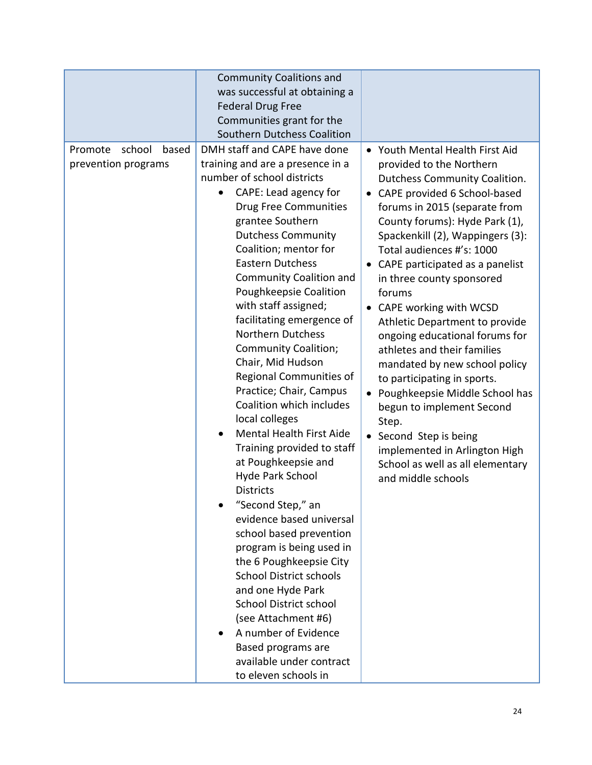|                                                   | <b>Community Coalitions and</b><br>was successful at obtaining a<br><b>Federal Drug Free</b><br>Communities grant for the<br>Southern Dutchess Coalition                                                                                                                                                                                                                                                                                                                                                                                                                                                                                                                                                                                                                                                                                                                                                                                                                                                                                       |                                                                                                                                                                                                                                                                                                                                                                                                                                                                                                                                                                                                                                                                                                                                    |
|---------------------------------------------------|------------------------------------------------------------------------------------------------------------------------------------------------------------------------------------------------------------------------------------------------------------------------------------------------------------------------------------------------------------------------------------------------------------------------------------------------------------------------------------------------------------------------------------------------------------------------------------------------------------------------------------------------------------------------------------------------------------------------------------------------------------------------------------------------------------------------------------------------------------------------------------------------------------------------------------------------------------------------------------------------------------------------------------------------|------------------------------------------------------------------------------------------------------------------------------------------------------------------------------------------------------------------------------------------------------------------------------------------------------------------------------------------------------------------------------------------------------------------------------------------------------------------------------------------------------------------------------------------------------------------------------------------------------------------------------------------------------------------------------------------------------------------------------------|
| school<br>Promote<br>based<br>prevention programs | DMH staff and CAPE have done<br>training and are a presence in a<br>number of school districts<br>CAPE: Lead agency for<br><b>Drug Free Communities</b><br>grantee Southern<br><b>Dutchess Community</b><br>Coalition; mentor for<br><b>Eastern Dutchess</b><br><b>Community Coalition and</b><br>Poughkeepsie Coalition<br>with staff assigned;<br>facilitating emergence of<br><b>Northern Dutchess</b><br><b>Community Coalition;</b><br>Chair, Mid Hudson<br>Regional Communities of<br>Practice; Chair, Campus<br>Coalition which includes<br>local colleges<br>Mental Health First Aide<br>Training provided to staff<br>at Poughkeepsie and<br>Hyde Park School<br><b>Districts</b><br>"Second Step," an<br>evidence based universal<br>school based prevention<br>program is being used in<br>the 6 Poughkeepsie City<br><b>School District schools</b><br>and one Hyde Park<br><b>School District school</b><br>(see Attachment #6)<br>A number of Evidence<br>Based programs are<br>available under contract<br>to eleven schools in | Youth Mental Health First Aid<br>provided to the Northern<br>Dutchess Community Coalition.<br>CAPE provided 6 School-based<br>forums in 2015 (separate from<br>County forums): Hyde Park (1),<br>Spackenkill (2), Wappingers (3):<br>Total audiences #'s: 1000<br>CAPE participated as a panelist<br>in three county sponsored<br>forums<br>CAPE working with WCSD<br>Athletic Department to provide<br>ongoing educational forums for<br>athletes and their families<br>mandated by new school policy<br>to participating in sports.<br>• Poughkeepsie Middle School has<br>begun to implement Second<br>Step.<br>Second Step is being<br>implemented in Arlington High<br>School as well as all elementary<br>and middle schools |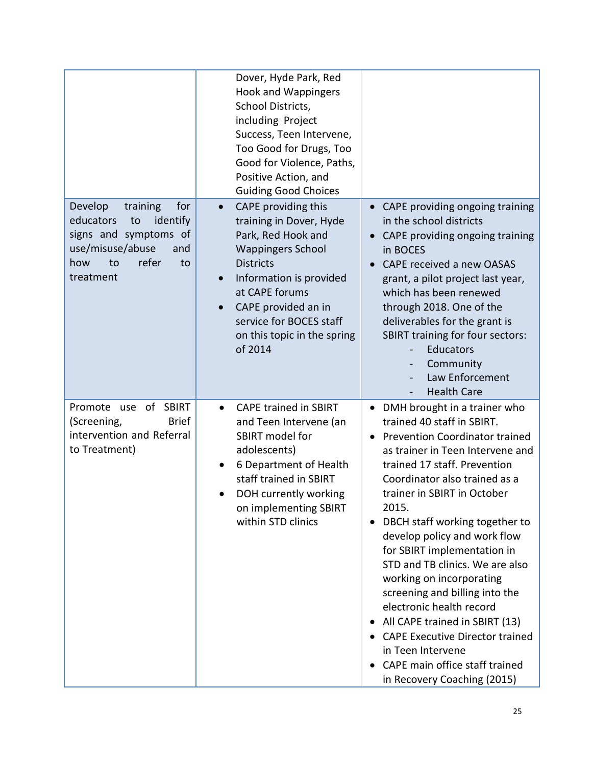|                                                                                                                                                        | Dover, Hyde Park, Red<br><b>Hook and Wappingers</b><br>School Districts,<br>including Project<br>Success, Teen Intervene,<br>Too Good for Drugs, Too<br>Good for Violence, Paths,<br>Positive Action, and<br><b>Guiding Good Choices</b>                                                             |                                                                                                                                                                                                                                                                                                                                                                                                                                                                                                                                                                                                                                                                            |
|--------------------------------------------------------------------------------------------------------------------------------------------------------|------------------------------------------------------------------------------------------------------------------------------------------------------------------------------------------------------------------------------------------------------------------------------------------------------|----------------------------------------------------------------------------------------------------------------------------------------------------------------------------------------------------------------------------------------------------------------------------------------------------------------------------------------------------------------------------------------------------------------------------------------------------------------------------------------------------------------------------------------------------------------------------------------------------------------------------------------------------------------------------|
| Develop<br>training<br>for<br>educators<br>identify<br>to<br>signs and symptoms of<br>use/misuse/abuse<br>and<br>refer<br>how<br>to<br>to<br>treatment | CAPE providing this<br>$\bullet$<br>training in Dover, Hyde<br>Park, Red Hook and<br><b>Wappingers School</b><br><b>Districts</b><br>Information is provided<br>$\bullet$<br>at CAPE forums<br>CAPE provided an in<br>$\bullet$<br>service for BOCES staff<br>on this topic in the spring<br>of 2014 | CAPE providing ongoing training<br>in the school districts<br>CAPE providing ongoing training<br>in BOCES<br>CAPE received a new OASAS<br>grant, a pilot project last year,<br>which has been renewed<br>through 2018. One of the<br>deliverables for the grant is<br><b>SBIRT training for four sectors:</b><br>Educators<br>Community<br>Law Enforcement<br><b>Health Care</b>                                                                                                                                                                                                                                                                                           |
| of<br>Promote<br><b>SBIRT</b><br>use<br><b>Brief</b><br>(Screening,<br>intervention and Referral<br>to Treatment)                                      | <b>CAPE trained in SBIRT</b><br>$\bullet$<br>and Teen Intervene (an<br>SBIRT model for<br>adolescents)<br>6 Department of Health<br>staff trained in SBIRT<br>DOH currently working<br>$\bullet$<br>on implementing SBIRT<br>within STD clinics                                                      | DMH brought in a trainer who<br>trained 40 staff in SBIRT.<br><b>Prevention Coordinator trained</b><br>$\bullet$<br>as trainer in Teen Intervene and<br>trained 17 staff. Prevention<br>Coordinator also trained as a<br>trainer in SBIRT in October<br>2015.<br>DBCH staff working together to<br>develop policy and work flow<br>for SBIRT implementation in<br>STD and TB clinics. We are also<br>working on incorporating<br>screening and billing into the<br>electronic health record<br>All CAPE trained in SBIRT (13)<br>$\bullet$<br><b>CAPE Executive Director trained</b><br>in Teen Intervene<br>CAPE main office staff trained<br>in Recovery Coaching (2015) |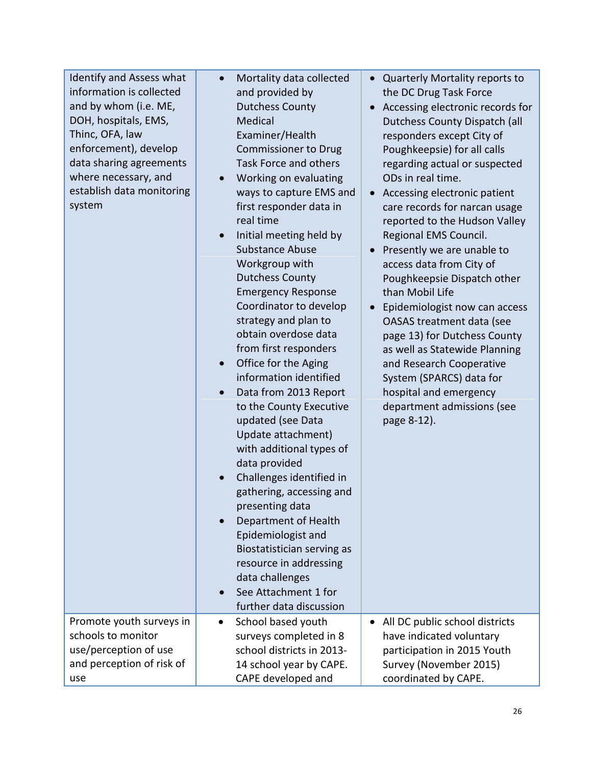| Identify and Assess what<br>information is collected<br>and by whom (i.e. ME,<br>DOH, hospitals, EMS,<br>Thinc, OFA, law<br>enforcement), develop<br>data sharing agreements<br>where necessary, and<br>establish data monitoring<br>system | $\bullet$ | Mortality data collected<br>and provided by<br><b>Dutchess County</b><br>Medical<br>Examiner/Health<br><b>Commissioner to Drug</b><br>Task Force and others<br>Working on evaluating<br>ways to capture EMS and<br>first responder data in<br>real time<br>Initial meeting held by<br><b>Substance Abuse</b><br>Workgroup with<br><b>Dutchess County</b><br><b>Emergency Response</b><br>Coordinator to develop<br>strategy and plan to<br>obtain overdose data<br>from first responders<br>Office for the Aging<br>information identified<br>Data from 2013 Report<br>to the County Executive<br>updated (see Data<br>Update attachment)<br>with additional types of<br>data provided<br>Challenges identified in<br>gathering, accessing and<br>presenting data<br>Department of Health<br>Epidemiologist and<br>Biostatistician serving as<br>resource in addressing<br>data challenges<br>See Attachment 1 for<br>further data discussion | $\bullet$<br>$\bullet$<br>$\bullet$ | • Quarterly Mortality reports to<br>the DC Drug Task Force<br>Accessing electronic records for<br>Dutchess County Dispatch (all<br>responders except City of<br>Poughkeepsie) for all calls<br>regarding actual or suspected<br>ODs in real time.<br>Accessing electronic patient<br>care records for narcan usage<br>reported to the Hudson Valley<br>Regional EMS Council.<br>Presently we are unable to<br>access data from City of<br>Poughkeepsie Dispatch other<br>than Mobil Life<br>Epidemiologist now can access<br>OASAS treatment data (see<br>page 13) for Dutchess County<br>as well as Statewide Planning<br>and Research Cooperative<br>System (SPARCS) data for<br>hospital and emergency<br>department admissions (see<br>page 8-12). |
|---------------------------------------------------------------------------------------------------------------------------------------------------------------------------------------------------------------------------------------------|-----------|-----------------------------------------------------------------------------------------------------------------------------------------------------------------------------------------------------------------------------------------------------------------------------------------------------------------------------------------------------------------------------------------------------------------------------------------------------------------------------------------------------------------------------------------------------------------------------------------------------------------------------------------------------------------------------------------------------------------------------------------------------------------------------------------------------------------------------------------------------------------------------------------------------------------------------------------------|-------------------------------------|--------------------------------------------------------------------------------------------------------------------------------------------------------------------------------------------------------------------------------------------------------------------------------------------------------------------------------------------------------------------------------------------------------------------------------------------------------------------------------------------------------------------------------------------------------------------------------------------------------------------------------------------------------------------------------------------------------------------------------------------------------|
| Promote youth surveys in<br>schools to monitor                                                                                                                                                                                              | $\bullet$ | School based youth<br>surveys completed in 8                                                                                                                                                                                                                                                                                                                                                                                                                                                                                                                                                                                                                                                                                                                                                                                                                                                                                                  | $\bullet$                           | All DC public school districts<br>have indicated voluntary                                                                                                                                                                                                                                                                                                                                                                                                                                                                                                                                                                                                                                                                                             |
| use/perception of use                                                                                                                                                                                                                       |           | school districts in 2013-                                                                                                                                                                                                                                                                                                                                                                                                                                                                                                                                                                                                                                                                                                                                                                                                                                                                                                                     |                                     | participation in 2015 Youth                                                                                                                                                                                                                                                                                                                                                                                                                                                                                                                                                                                                                                                                                                                            |
| and perception of risk of                                                                                                                                                                                                                   |           | 14 school year by CAPE.                                                                                                                                                                                                                                                                                                                                                                                                                                                                                                                                                                                                                                                                                                                                                                                                                                                                                                                       |                                     | Survey (November 2015)                                                                                                                                                                                                                                                                                                                                                                                                                                                                                                                                                                                                                                                                                                                                 |
|                                                                                                                                                                                                                                             |           |                                                                                                                                                                                                                                                                                                                                                                                                                                                                                                                                                                                                                                                                                                                                                                                                                                                                                                                                               |                                     |                                                                                                                                                                                                                                                                                                                                                                                                                                                                                                                                                                                                                                                                                                                                                        |
| use                                                                                                                                                                                                                                         |           | CAPE developed and                                                                                                                                                                                                                                                                                                                                                                                                                                                                                                                                                                                                                                                                                                                                                                                                                                                                                                                            |                                     | coordinated by CAPE.                                                                                                                                                                                                                                                                                                                                                                                                                                                                                                                                                                                                                                                                                                                                   |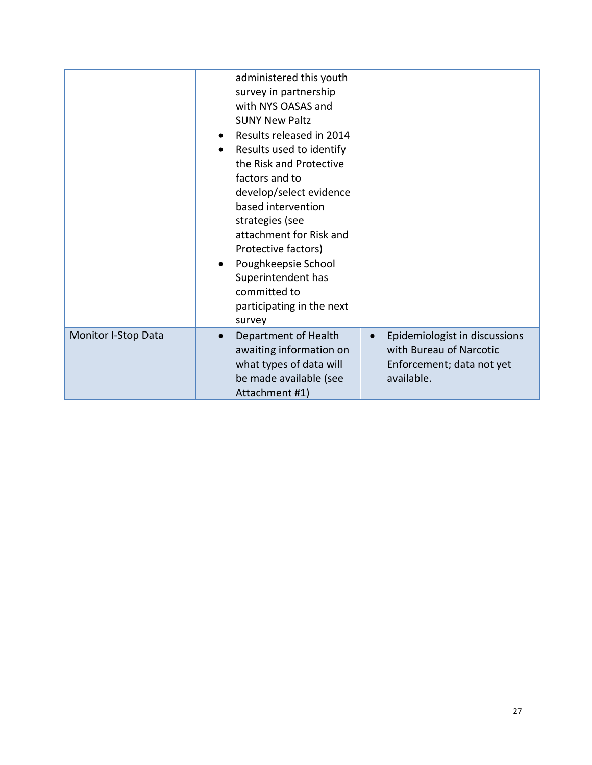|                            | administered this youth<br>survey in partnership<br>with NYS OASAS and<br><b>SUNY New Paltz</b><br>Results released in 2014<br>Results used to identify<br>$\bullet$<br>the Risk and Protective<br>factors and to<br>develop/select evidence<br>based intervention<br>strategies (see<br>attachment for Risk and<br>Protective factors)<br>Poughkeepsie School<br>Superintendent has<br>committed to<br>participating in the next<br>survey |                                                                                                                  |
|----------------------------|---------------------------------------------------------------------------------------------------------------------------------------------------------------------------------------------------------------------------------------------------------------------------------------------------------------------------------------------------------------------------------------------------------------------------------------------|------------------------------------------------------------------------------------------------------------------|
| <b>Monitor I-Stop Data</b> | Department of Health<br>$\bullet$<br>awaiting information on<br>what types of data will<br>be made available (see<br>Attachment #1)                                                                                                                                                                                                                                                                                                         | Epidemiologist in discussions<br>$\bullet$<br>with Bureau of Narcotic<br>Enforcement; data not yet<br>available. |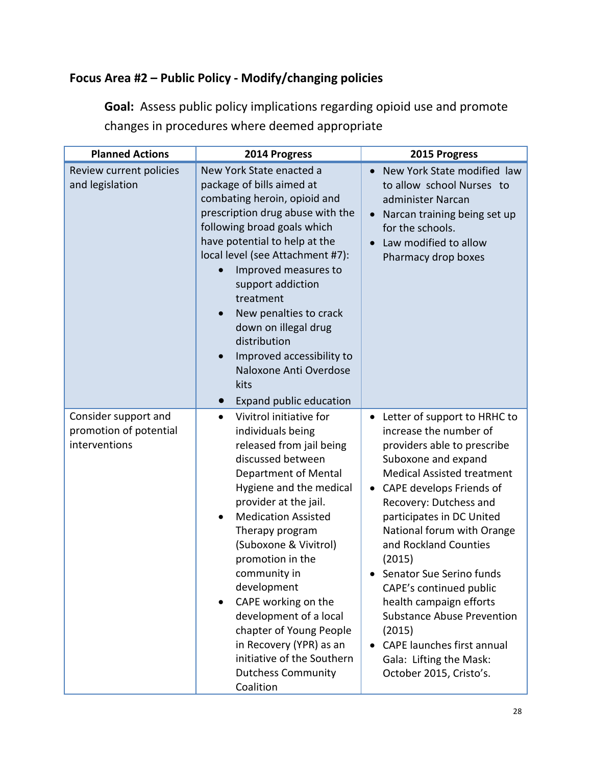## **Focus Area #2 – Public Policy - Modify/changing policies**

**Goal:** Assess public policy implications regarding opioid use and promote changes in procedures where deemed appropriate

| <b>Planned Actions</b>                                          | 2014 Progress                                                                                                                                                                                                                                                                                                                                                                                                                                                                                                                | 2015 Progress                                                                                                                                                                                                                                                                                                                                                                                                                                                                                                                                        |
|-----------------------------------------------------------------|------------------------------------------------------------------------------------------------------------------------------------------------------------------------------------------------------------------------------------------------------------------------------------------------------------------------------------------------------------------------------------------------------------------------------------------------------------------------------------------------------------------------------|------------------------------------------------------------------------------------------------------------------------------------------------------------------------------------------------------------------------------------------------------------------------------------------------------------------------------------------------------------------------------------------------------------------------------------------------------------------------------------------------------------------------------------------------------|
| Review current policies<br>and legislation                      | New York State enacted a<br>package of bills aimed at<br>combating heroin, opioid and<br>prescription drug abuse with the<br>following broad goals which<br>have potential to help at the<br>local level (see Attachment #7):<br>Improved measures to<br>support addiction<br>treatment<br>New penalties to crack<br>down on illegal drug<br>distribution<br>Improved accessibility to<br>Naloxone Anti Overdose<br>kits<br>Expand public education<br>$\bullet$                                                             | New York State modified law<br>$\bullet$<br>to allow school Nurses to<br>administer Narcan<br>Narcan training being set up<br>$\bullet$<br>for the schools.<br>Law modified to allow<br>$\bullet$<br>Pharmacy drop boxes                                                                                                                                                                                                                                                                                                                             |
| Consider support and<br>promotion of potential<br>interventions | Vivitrol initiative for<br>$\bullet$<br>individuals being<br>released from jail being<br>discussed between<br>Department of Mental<br>Hygiene and the medical<br>provider at the jail.<br><b>Medication Assisted</b><br>$\bullet$<br>Therapy program<br>(Suboxone & Vivitrol)<br>promotion in the<br>community in<br>development<br>CAPE working on the<br>$\bullet$<br>development of a local<br>chapter of Young People<br>in Recovery (YPR) as an<br>initiative of the Southern<br><b>Dutchess Community</b><br>Coalition | Letter of support to HRHC to<br>$\bullet$<br>increase the number of<br>providers able to prescribe<br>Suboxone and expand<br><b>Medical Assisted treatment</b><br>CAPE develops Friends of<br>$\bullet$<br>Recovery: Dutchess and<br>participates in DC United<br>National forum with Orange<br>and Rockland Counties<br>(2015)<br>Senator Sue Serino funds<br>CAPE's continued public<br>health campaign efforts<br><b>Substance Abuse Prevention</b><br>(2015)<br>CAPE launches first annual<br>Gala: Lifting the Mask:<br>October 2015, Cristo's. |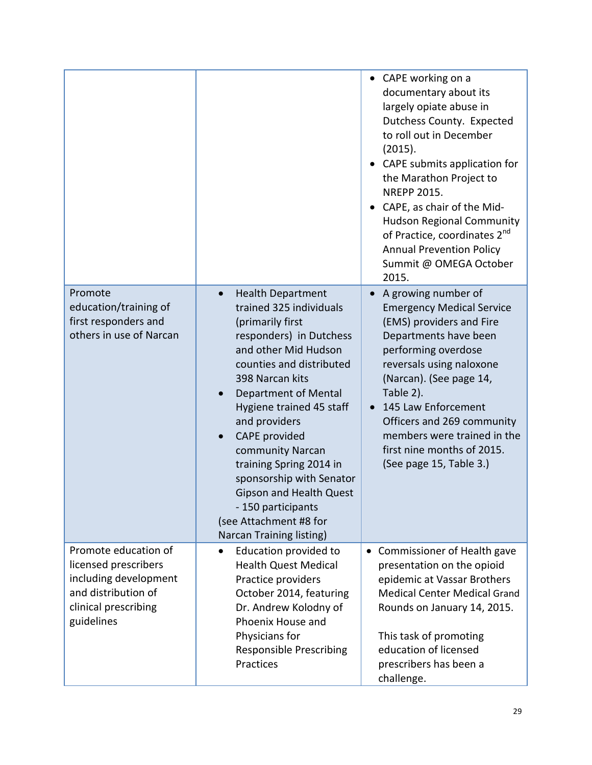|                                                                                                                                    |                                                                                                                                                                                                                                                                                                                                                                                                                                                                       | • CAPE working on a<br>documentary about its<br>largely opiate abuse in<br>Dutchess County. Expected<br>to roll out in December<br>(2015).<br>• CAPE submits application for<br>the Marathon Project to<br><b>NREPP 2015.</b><br>CAPE, as chair of the Mid-<br><b>Hudson Regional Community</b><br>of Practice, coordinates 2 <sup>nd</sup><br><b>Annual Prevention Policy</b><br>Summit @ OMEGA October<br>2015. |
|------------------------------------------------------------------------------------------------------------------------------------|-----------------------------------------------------------------------------------------------------------------------------------------------------------------------------------------------------------------------------------------------------------------------------------------------------------------------------------------------------------------------------------------------------------------------------------------------------------------------|-------------------------------------------------------------------------------------------------------------------------------------------------------------------------------------------------------------------------------------------------------------------------------------------------------------------------------------------------------------------------------------------------------------------|
| Promote<br>education/training of<br>first responders and<br>others in use of Narcan                                                | <b>Health Department</b><br>$\bullet$<br>trained 325 individuals<br>(primarily first<br>responders) in Dutchess<br>and other Mid Hudson<br>counties and distributed<br>398 Narcan kits<br>Department of Mental<br>Hygiene trained 45 staff<br>and providers<br>CAPE provided<br>community Narcan<br>training Spring 2014 in<br>sponsorship with Senator<br><b>Gipson and Health Quest</b><br>- 150 participants<br>(see Attachment #8 for<br>Narcan Training listing) | A growing number of<br><b>Emergency Medical Service</b><br>(EMS) providers and Fire<br>Departments have been<br>performing overdose<br>reversals using naloxone<br>(Narcan). (See page 14,<br>Table 2).<br>145 Law Enforcement<br>Officers and 269 community<br>members were trained in the<br>first nine months of 2015.<br>(See page 15, Table 3.)                                                              |
| Promote education of<br>licensed prescribers<br>including development<br>and distribution of<br>clinical prescribing<br>guidelines | Education provided to<br>$\bullet$<br><b>Health Quest Medical</b><br>Practice providers<br>October 2014, featuring<br>Dr. Andrew Kolodny of<br>Phoenix House and<br>Physicians for<br><b>Responsible Prescribing</b><br>Practices                                                                                                                                                                                                                                     | Commissioner of Health gave<br>$\bullet$<br>presentation on the opioid<br>epidemic at Vassar Brothers<br><b>Medical Center Medical Grand</b><br>Rounds on January 14, 2015.<br>This task of promoting<br>education of licensed<br>prescribers has been a<br>challenge.                                                                                                                                            |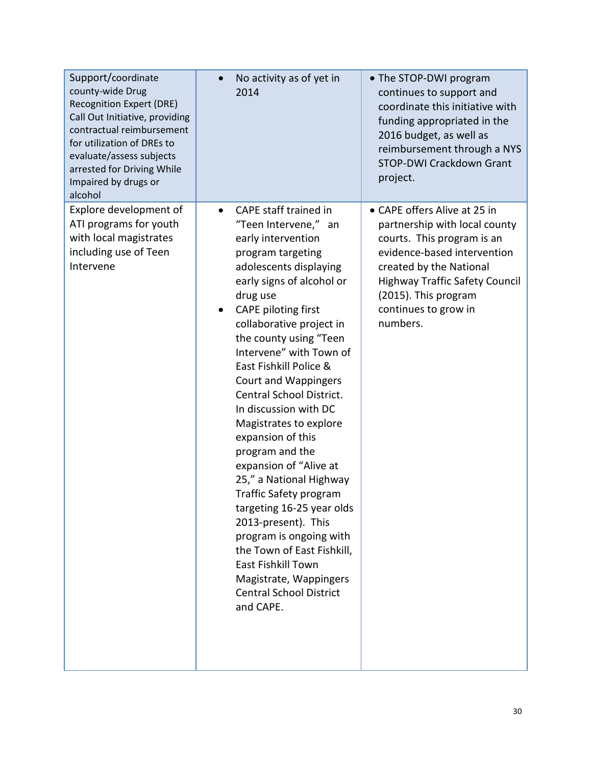| Support/coordinate<br>county-wide Drug<br><b>Recognition Expert (DRE)</b><br>Call Out Initiative, providing<br>contractual reimbursement<br>for utilization of DREs to<br>evaluate/assess subjects<br>arrested for Driving While<br>Impaired by drugs or<br>alcohol | No activity as of yet in<br>2014                                                                                                                                                                                                                                                                                                                                                                                                                                                                                                                                                                                                                                                                                                                                   | • The STOP-DWI program<br>continues to support and<br>coordinate this initiative with<br>funding appropriated in the<br>2016 budget, as well as<br>reimbursement through a NYS<br><b>STOP-DWI Crackdown Grant</b><br>project.                              |
|---------------------------------------------------------------------------------------------------------------------------------------------------------------------------------------------------------------------------------------------------------------------|--------------------------------------------------------------------------------------------------------------------------------------------------------------------------------------------------------------------------------------------------------------------------------------------------------------------------------------------------------------------------------------------------------------------------------------------------------------------------------------------------------------------------------------------------------------------------------------------------------------------------------------------------------------------------------------------------------------------------------------------------------------------|------------------------------------------------------------------------------------------------------------------------------------------------------------------------------------------------------------------------------------------------------------|
| Explore development of<br>ATI programs for youth<br>with local magistrates<br>including use of Teen<br>Intervene                                                                                                                                                    | CAPE staff trained in<br>$\bullet$<br>"Teen Intervene," an<br>early intervention<br>program targeting<br>adolescents displaying<br>early signs of alcohol or<br>drug use<br><b>CAPE piloting first</b><br>collaborative project in<br>the county using "Teen<br>Intervene" with Town of<br>East Fishkill Police &<br><b>Court and Wappingers</b><br>Central School District.<br>In discussion with DC<br>Magistrates to explore<br>expansion of this<br>program and the<br>expansion of "Alive at<br>25," a National Highway<br>Traffic Safety program<br>targeting 16-25 year olds<br>2013-present). This<br>program is ongoing with<br>the Town of East Fishkill,<br>East Fishkill Town<br>Magistrate, Wappingers<br><b>Central School District</b><br>and CAPE. | • CAPE offers Alive at 25 in<br>partnership with local county<br>courts. This program is an<br>evidence-based intervention<br>created by the National<br><b>Highway Traffic Safety Council</b><br>(2015). This program<br>continues to grow in<br>numbers. |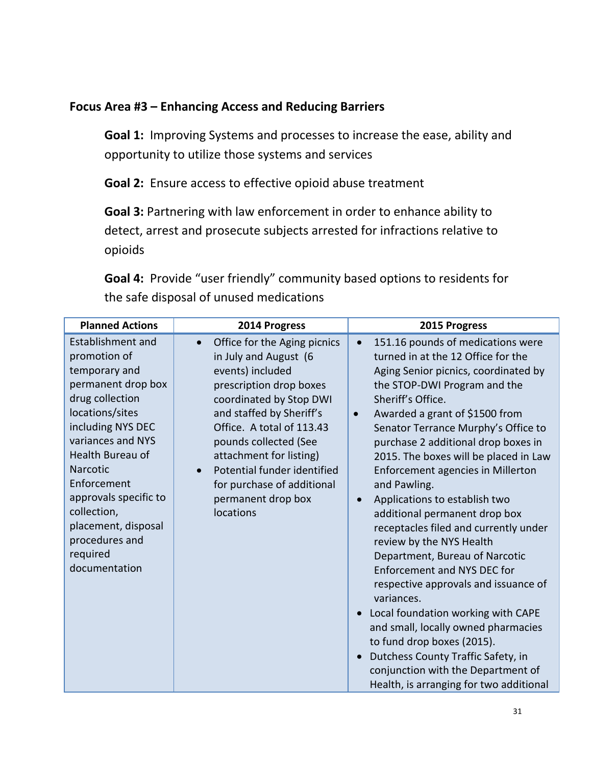## **Focus Area #3 – Enhancing Access and Reducing Barriers**

**Goal 1:** Improving Systems and processes to increase the ease, ability and opportunity to utilize those systems and services

**Goal 2:** Ensure access to effective opioid abuse treatment

**Goal 3:** Partnering with law enforcement in order to enhance ability to detect, arrest and prosecute subjects arrested for infractions relative to opioids

**Goal 4:** Provide "user friendly" community based options to residents for the safe disposal of unused medications

| <b>Planned Actions</b>                                                                                                                                                                                                                                                                                                       | 2014 Progress                                                                                                                                                                                                                                                                                                                                             | 2015 Progress                                                                                                                                                                                                                                                                                                                                                                                                                                                                                                                                                                                                                                                                                                                                                                                                                                                                                                                    |
|------------------------------------------------------------------------------------------------------------------------------------------------------------------------------------------------------------------------------------------------------------------------------------------------------------------------------|-----------------------------------------------------------------------------------------------------------------------------------------------------------------------------------------------------------------------------------------------------------------------------------------------------------------------------------------------------------|----------------------------------------------------------------------------------------------------------------------------------------------------------------------------------------------------------------------------------------------------------------------------------------------------------------------------------------------------------------------------------------------------------------------------------------------------------------------------------------------------------------------------------------------------------------------------------------------------------------------------------------------------------------------------------------------------------------------------------------------------------------------------------------------------------------------------------------------------------------------------------------------------------------------------------|
| <b>Establishment and</b><br>promotion of<br>temporary and<br>permanent drop box<br>drug collection<br>locations/sites<br>including NYS DEC<br>variances and NYS<br>Health Bureau of<br>Narcotic<br>Enforcement<br>approvals specific to<br>collection,<br>placement, disposal<br>procedures and<br>required<br>documentation | Office for the Aging picnics<br>$\bullet$<br>in July and August (6<br>events) included<br>prescription drop boxes<br>coordinated by Stop DWI<br>and staffed by Sheriff's<br>Office. A total of 113.43<br>pounds collected (See<br>attachment for listing)<br>Potential funder identified<br>for purchase of additional<br>permanent drop box<br>locations | 151.16 pounds of medications were<br>$\bullet$<br>turned in at the 12 Office for the<br>Aging Senior picnics, coordinated by<br>the STOP-DWI Program and the<br>Sheriff's Office.<br>Awarded a grant of \$1500 from<br>$\bullet$<br>Senator Terrance Murphy's Office to<br>purchase 2 additional drop boxes in<br>2015. The boxes will be placed in Law<br>Enforcement agencies in Millerton<br>and Pawling.<br>Applications to establish two<br>$\bullet$<br>additional permanent drop box<br>receptacles filed and currently under<br>review by the NYS Health<br>Department, Bureau of Narcotic<br><b>Enforcement and NYS DEC for</b><br>respective approvals and issuance of<br>variances.<br>Local foundation working with CAPE<br>and small, locally owned pharmacies<br>to fund drop boxes (2015).<br>Dutchess County Traffic Safety, in<br>conjunction with the Department of<br>Health, is arranging for two additional |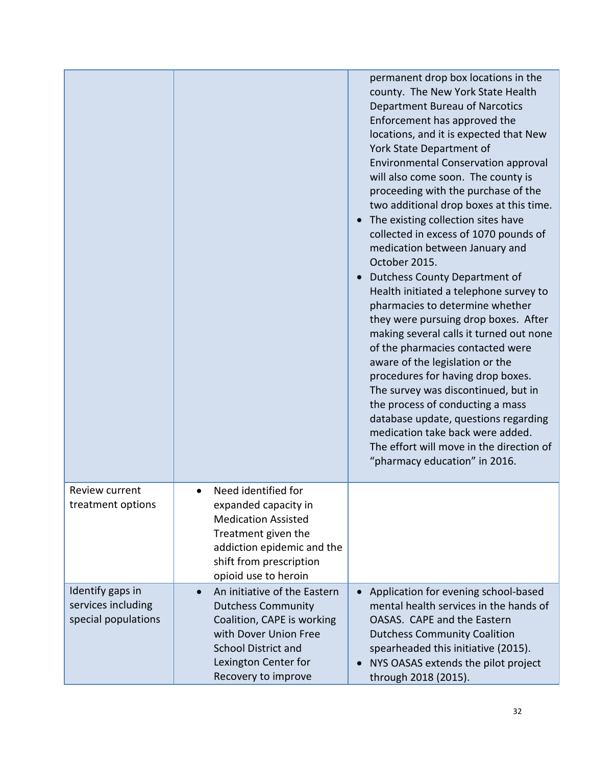|                                                               |                                                                                                                                                                                                            | permanent drop box locations in the<br>county. The New York State Health<br>Department Bureau of Narcotics<br>Enforcement has approved the<br>locations, and it is expected that New<br>York State Department of<br><b>Environmental Conservation approval</b><br>will also come soon. The county is<br>proceeding with the purchase of the<br>two additional drop boxes at this time.<br>The existing collection sites have<br>collected in excess of 1070 pounds of<br>medication between January and<br>October 2015.<br>Dutchess County Department of<br>Health initiated a telephone survey to<br>pharmacies to determine whether<br>they were pursuing drop boxes. After<br>making several calls it turned out none<br>of the pharmacies contacted were<br>aware of the legislation or the<br>procedures for having drop boxes.<br>The survey was discontinued, but in<br>the process of conducting a mass<br>database update, questions regarding<br>medication take back were added.<br>The effort will move in the direction of<br>"pharmacy education" in 2016. |
|---------------------------------------------------------------|------------------------------------------------------------------------------------------------------------------------------------------------------------------------------------------------------------|---------------------------------------------------------------------------------------------------------------------------------------------------------------------------------------------------------------------------------------------------------------------------------------------------------------------------------------------------------------------------------------------------------------------------------------------------------------------------------------------------------------------------------------------------------------------------------------------------------------------------------------------------------------------------------------------------------------------------------------------------------------------------------------------------------------------------------------------------------------------------------------------------------------------------------------------------------------------------------------------------------------------------------------------------------------------------|
| Review current<br>treatment options                           | Need identified for<br>expanded capacity in<br><b>Medication Assisted</b><br>Treatment given the<br>addiction epidemic and the<br>shift from prescription<br>opioid use to heroin                          |                                                                                                                                                                                                                                                                                                                                                                                                                                                                                                                                                                                                                                                                                                                                                                                                                                                                                                                                                                                                                                                                           |
| Identify gaps in<br>services including<br>special populations | An initiative of the Eastern<br>$\bullet$<br><b>Dutchess Community</b><br>Coalition, CAPE is working<br>with Dover Union Free<br><b>School District and</b><br>Lexington Center for<br>Recovery to improve | Application for evening school-based<br>mental health services in the hands of<br>OASAS. CAPE and the Eastern<br><b>Dutchess Community Coalition</b><br>spearheaded this initiative (2015).<br>NYS OASAS extends the pilot project<br>$\bullet$<br>through 2018 (2015).                                                                                                                                                                                                                                                                                                                                                                                                                                                                                                                                                                                                                                                                                                                                                                                                   |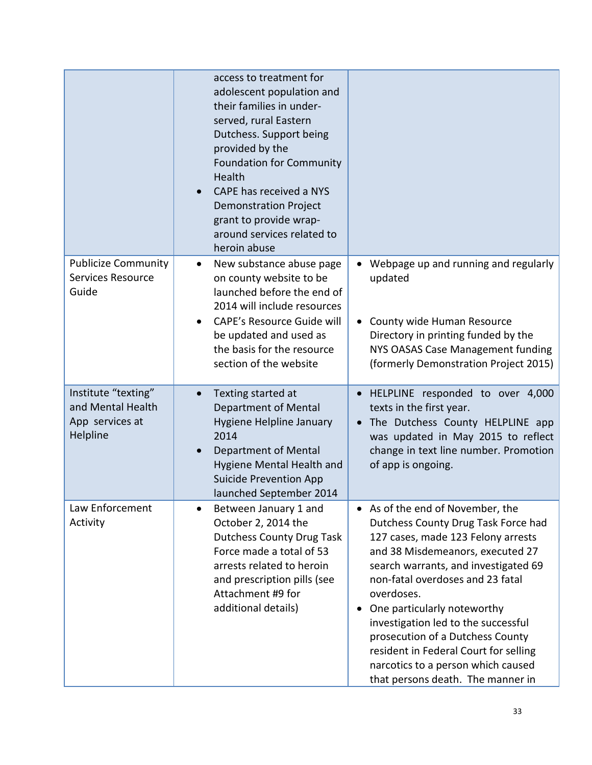|                                                                         | access to treatment for<br>adolescent population and<br>their families in under-<br>served, rural Eastern<br>Dutchess. Support being<br>provided by the<br><b>Foundation for Community</b><br>Health<br>CAPE has received a NYS<br><b>Demonstration Project</b><br>grant to provide wrap-<br>around services related to<br>heroin abuse |                                                                                                                                                                                                                                                                                                                                                                                                                                                                                      |
|-------------------------------------------------------------------------|-----------------------------------------------------------------------------------------------------------------------------------------------------------------------------------------------------------------------------------------------------------------------------------------------------------------------------------------|--------------------------------------------------------------------------------------------------------------------------------------------------------------------------------------------------------------------------------------------------------------------------------------------------------------------------------------------------------------------------------------------------------------------------------------------------------------------------------------|
| <b>Publicize Community</b><br><b>Services Resource</b><br>Guide         | New substance abuse page<br>$\bullet$<br>on county website to be<br>launched before the end of<br>2014 will include resources<br><b>CAPE's Resource Guide will</b><br>be updated and used as<br>the basis for the resource<br>section of the website                                                                                    | • Webpage up and running and regularly<br>updated<br>County wide Human Resource<br>Directory in printing funded by the<br>NYS OASAS Case Management funding<br>(formerly Demonstration Project 2015)                                                                                                                                                                                                                                                                                 |
| Institute "texting"<br>and Mental Health<br>App services at<br>Helpline | Texting started at<br>$\bullet$<br>Department of Mental<br>Hygiene Helpline January<br>2014<br>Department of Mental<br>Hygiene Mental Health and<br><b>Suicide Prevention App</b><br>launched September 2014                                                                                                                            | HELPLINE responded to over 4,000<br>texts in the first year.<br>The Dutchess County HELPLINE app<br>$\bullet$<br>was updated in May 2015 to reflect<br>change in text line number. Promotion<br>of app is ongoing.                                                                                                                                                                                                                                                                   |
| Law Enforcement<br>Activity                                             | Between January 1 and<br>October 2, 2014 the<br><b>Dutchess County Drug Task</b><br>Force made a total of 53<br>arrests related to heroin<br>and prescription pills (see<br>Attachment #9 for<br>additional details)                                                                                                                    | As of the end of November, the<br>$\bullet$<br>Dutchess County Drug Task Force had<br>127 cases, made 123 Felony arrests<br>and 38 Misdemeanors, executed 27<br>search warrants, and investigated 69<br>non-fatal overdoses and 23 fatal<br>overdoses.<br>One particularly noteworthy<br>investigation led to the successful<br>prosecution of a Dutchess County<br>resident in Federal Court for selling<br>narcotics to a person which caused<br>that persons death. The manner in |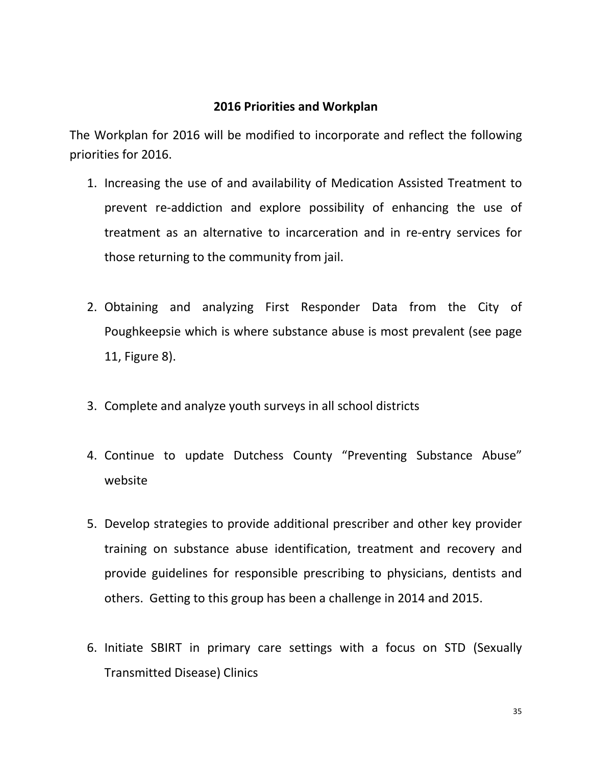### **2016 Priorities and Workplan**

The Workplan for 2016 will be modified to incorporate and reflect the following priorities for 2016.

- 1. Increasing the use of and availability of Medication Assisted Treatment to prevent re-addiction and explore possibility of enhancing the use of treatment as an alternative to incarceration and in re-entry services for those returning to the community from jail.
- 2. Obtaining and analyzing First Responder Data from the City of Poughkeepsie which is where substance abuse is most prevalent (see page 11, Figure 8).
- 3. Complete and analyze youth surveys in all school districts
- 4. Continue to update Dutchess County "Preventing Substance Abuse" website
- 5. Develop strategies to provide additional prescriber and other key provider training on substance abuse identification, treatment and recovery and provide guidelines for responsible prescribing to physicians, dentists and others. Getting to this group has been a challenge in 2014 and 2015.
- 6. Initiate SBIRT in primary care settings with a focus on STD (Sexually Transmitted Disease) Clinics